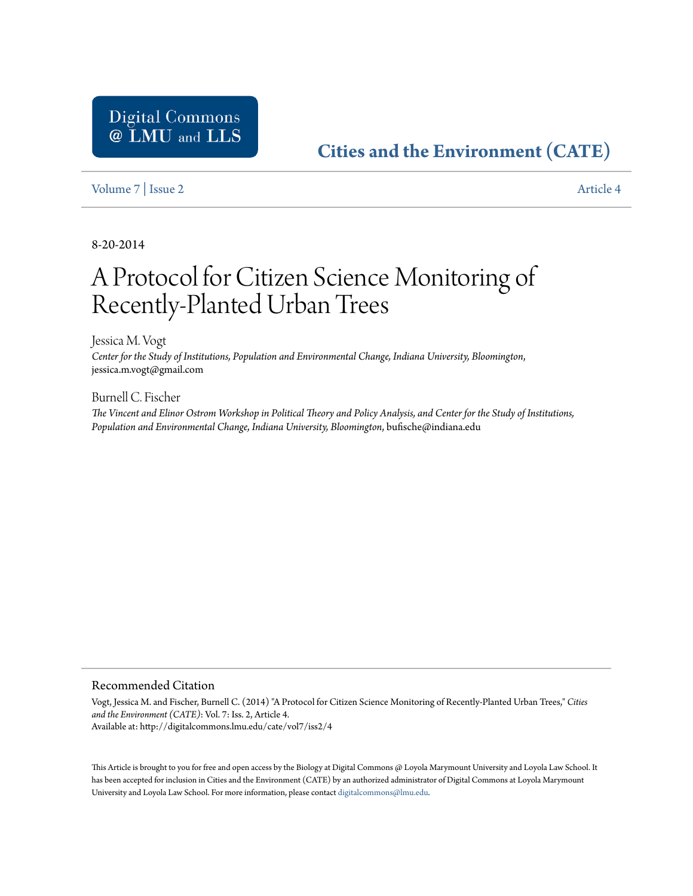# **[Cities and the Environment \(CATE\)](http://digitalcommons.lmu.edu/cate)**

[Volume 7](http://digitalcommons.lmu.edu/cate/vol7) | [Issue 2](http://digitalcommons.lmu.edu/cate/vol7/iss2) [Article 4](http://digitalcommons.lmu.edu/cate/vol7/iss2/4)

8-20-2014

# A Protocol for Citizen Science Monitoring of Recently-Planted Urban Trees

Jessica M. Vogt *Center for the Study of Institutions, Population and Environmental Change, Indiana University, Bloomington*, jessica.m.vogt@gmail.com

Burnell C. Fischer *The Vincent and Elinor Ostrom Workshop in Political Theory and Policy Analysis, and Center for the Study of Institutions, Population and Environmental Change, Indiana University, Bloomington*, bufische@indiana.edu

#### Recommended Citation

Vogt, Jessica M. and Fischer, Burnell C. (2014) "A Protocol for Citizen Science Monitoring of Recently-Planted Urban Trees," *Cities and the Environment (CATE)*: Vol. 7: Iss. 2, Article 4. Available at: http://digitalcommons.lmu.edu/cate/vol7/iss2/4

This Article is brought to you for free and open access by the Biology at Digital Commons @ Loyola Marymount University and Loyola Law School. It has been accepted for inclusion in Cities and the Environment (CATE) by an authorized administrator of Digital Commons at Loyola Marymount University and Loyola Law School. For more information, please contact [digitalcommons@lmu.edu](mailto:digitalcommons@lmu.edu).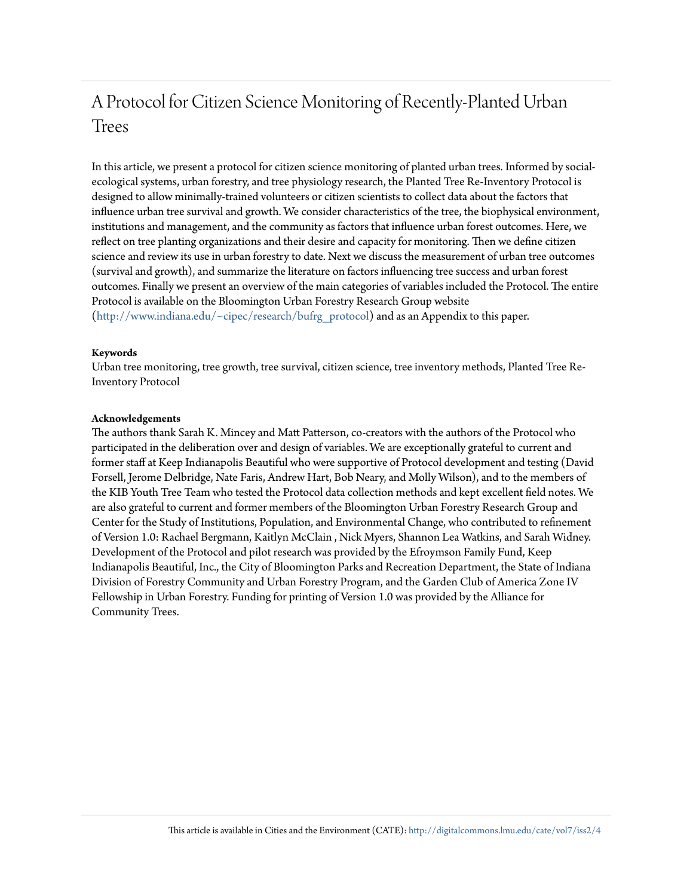# A Protocol for Citizen Science Monitoring of Recently-Planted Urban Trees

In this article, we present a protocol for citizen science monitoring of planted urban trees. Informed by socialecological systems, urban forestry, and tree physiology research, the Planted Tree Re-Inventory Protocol is designed to allow minimally-trained volunteers or citizen scientists to collect data about the factors that influence urban tree survival and growth. We consider characteristics of the tree, the biophysical environment, institutions and management, and the community as factors that influence urban forest outcomes. Here, we reflect on tree planting organizations and their desire and capacity for monitoring. Then we define citizen science and review its use in urban forestry to date. Next we discuss the measurement of urban tree outcomes (survival and growth), and summarize the literature on factors influencing tree success and urban forest outcomes. Finally we present an overview of the main categories of variables included the Protocol. The entire Protocol is available on the Bloomington Urban Forestry Research Group website [\(http://www.indiana.edu/~cipec/research/bufrg\\_protocol](http://www.indiana.edu/~cipec/research/bufrg_protocol)) and as an Appendix to this paper.

#### **Keywords**

Urban tree monitoring, tree growth, tree survival, citizen science, tree inventory methods, Planted Tree Re-Inventory Protocol

#### **Acknowledgements**

The authors thank Sarah K. Mincey and Matt Patterson, co-creators with the authors of the Protocol who participated in the deliberation over and design of variables. We are exceptionally grateful to current and former staff at Keep Indianapolis Beautiful who were supportive of Protocol development and testing (David Forsell, Jerome Delbridge, Nate Faris, Andrew Hart, Bob Neary, and Molly Wilson), and to the members of the KIB Youth Tree Team who tested the Protocol data collection methods and kept excellent field notes. We are also grateful to current and former members of the Bloomington Urban Forestry Research Group and Center for the Study of Institutions, Population, and Environmental Change, who contributed to refinement of Version 1.0: Rachael Bergmann, Kaitlyn McClain , Nick Myers, Shannon Lea Watkins, and Sarah Widney. Development of the Protocol and pilot research was provided by the Efroymson Family Fund, Keep Indianapolis Beautiful, Inc., the City of Bloomington Parks and Recreation Department, the State of Indiana Division of Forestry Community and Urban Forestry Program, and the Garden Club of America Zone IV Fellowship in Urban Forestry. Funding for printing of Version 1.0 was provided by the Alliance for Community Trees.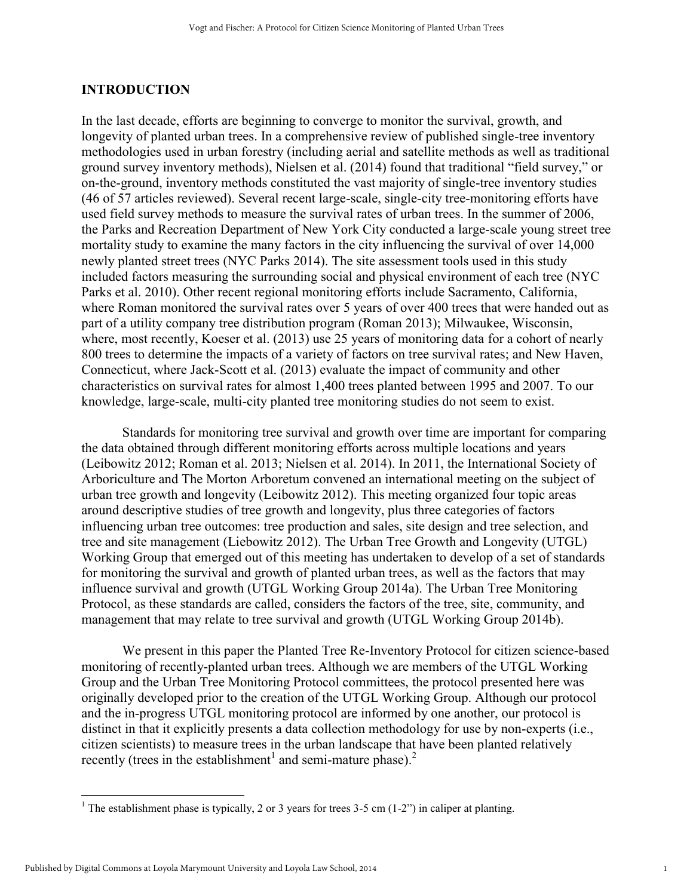# **INTRODUCTION**

In the last decade, efforts are beginning to converge to monitor the survival, growth, and longevity of planted urban trees. In a comprehensive review of published single-tree inventory methodologies used in urban forestry (including aerial and satellite methods as well as traditional ground survey inventory methods), Nielsen et al. (2014) found that traditional "field survey," or on-the-ground, inventory methods constituted the vast majority of single-tree inventory studies (46 of 57 articles reviewed). Several recent large-scale, single-city tree-monitoring efforts have used field survey methods to measure the survival rates of urban trees. In the summer of 2006, the Parks and Recreation Department of New York City conducted a large-scale young street tree mortality study to examine the many factors in the city influencing the survival of over 14,000 newly planted street trees (NYC Parks 2014). The site assessment tools used in this study included factors measuring the surrounding social and physical environment of each tree (NYC Parks et al. 2010). Other recent regional monitoring efforts include Sacramento, California, where Roman monitored the survival rates over 5 years of over 400 trees that were handed out as part of a utility company tree distribution program (Roman 2013); Milwaukee, Wisconsin, where, most recently, Koeser et al. (2013) use 25 years of monitoring data for a cohort of nearly 800 trees to determine the impacts of a variety of factors on tree survival rates; and New Haven, Connecticut, where Jack-Scott et al. (2013) evaluate the impact of community and other characteristics on survival rates for almost 1,400 trees planted between 1995 and 2007. To our knowledge, large-scale, multi-city planted tree monitoring studies do not seem to exist.

Standards for monitoring tree survival and growth over time are important for comparing the data obtained through different monitoring efforts across multiple locations and years (Leibowitz 2012; Roman et al. 2013; Nielsen et al. 2014). In 2011, the International Society of Arboriculture and The Morton Arboretum convened an international meeting on the subject of urban tree growth and longevity (Leibowitz 2012). This meeting organized four topic areas around descriptive studies of tree growth and longevity, plus three categories of factors influencing urban tree outcomes: tree production and sales, site design and tree selection, and tree and site management (Liebowitz 2012). The Urban Tree Growth and Longevity (UTGL) Working Group that emerged out of this meeting has undertaken to develop of a set of standards for monitoring the survival and growth of planted urban trees, as well as the factors that may influence survival and growth (UTGL Working Group 2014a). The Urban Tree Monitoring Protocol, as these standards are called, considers the factors of the tree, site, community, and management that may relate to tree survival and growth (UTGL Working Group 2014b).

We present in this paper the Planted Tree Re-Inventory Protocol for citizen science-based monitoring of recently-planted urban trees. Although we are members of the UTGL Working Group and the Urban Tree Monitoring Protocol committees, the protocol presented here was originally developed prior to the creation of the UTGL Working Group. Although our protocol and the in-progress UTGL monitoring protocol are informed by one another, our protocol is distinct in that it explicitly presents a data collection methodology for use by non-experts (i.e., citizen scientists) to measure trees in the urban landscape that have been planted relatively recently (trees in the establishment<sup>1</sup> and semi-mature phase).<sup>2</sup>

<sup>&</sup>lt;sup>1</sup> The establishment phase is typically, 2 or 3 years for trees 3-5 cm (1-2") in caliper at planting.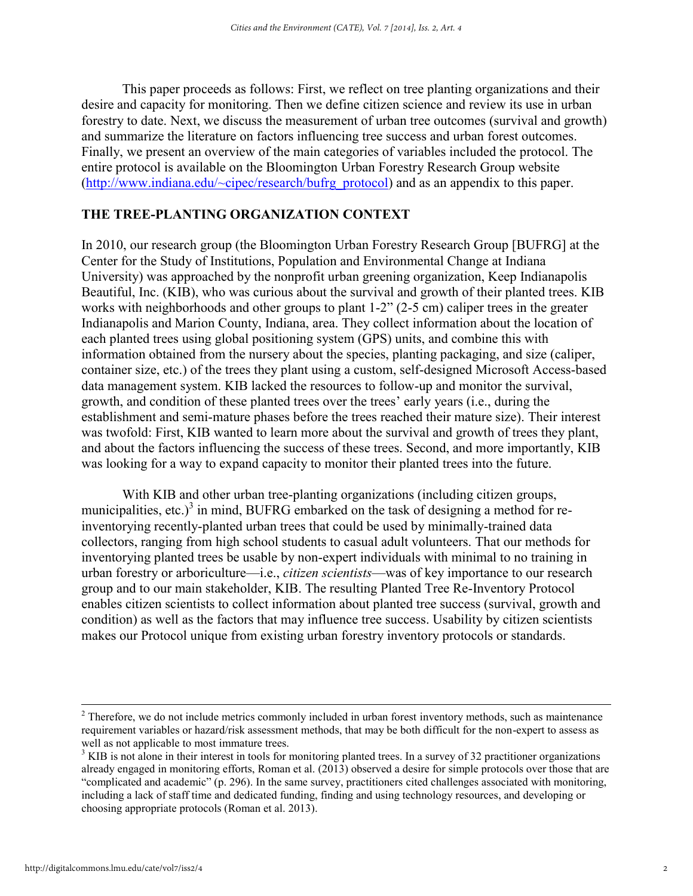This paper proceeds as follows: First, we reflect on tree planting organizations and their desire and capacity for monitoring. Then we define citizen science and review its use in urban forestry to date. Next, we discuss the measurement of urban tree outcomes (survival and growth) and summarize the literature on factors influencing tree success and urban forest outcomes. Finally, we present an overview of the main categories of variables included the protocol. The entire protocol is available on the Bloomington Urban Forestry Research Group website [\(http://www.indiana.edu/~cipec/research/bufrg\\_protocol\)](http://www.indiana.edu/~cipec/research/bufrg_protocol) and as an appendix to this paper.

# **THE TREE-PLANTING ORGANIZATION CONTEXT**

In 2010, our research group (the Bloomington Urban Forestry Research Group [BUFRG] at the Center for the Study of Institutions, Population and Environmental Change at Indiana University) was approached by the nonprofit urban greening organization, Keep Indianapolis Beautiful, Inc. (KIB), who was curious about the survival and growth of their planted trees. KIB works with neighborhoods and other groups to plant 1-2" (2-5 cm) caliper trees in the greater Indianapolis and Marion County, Indiana, area. They collect information about the location of each planted trees using global positioning system (GPS) units, and combine this with information obtained from the nursery about the species, planting packaging, and size (caliper, container size, etc.) of the trees they plant using a custom, self-designed Microsoft Access-based data management system. KIB lacked the resources to follow-up and monitor the survival, growth, and condition of these planted trees over the trees' early years (i.e., during the establishment and semi-mature phases before the trees reached their mature size). Their interest was twofold: First, KIB wanted to learn more about the survival and growth of trees they plant, and about the factors influencing the success of these trees. Second, and more importantly, KIB was looking for a way to expand capacity to monitor their planted trees into the future.

With KIB and other urban tree-planting organizations (including citizen groups, municipalities, etc.)<sup>3</sup> in mind, BUFRG embarked on the task of designing a method for reinventorying recently-planted urban trees that could be used by minimally-trained data collectors, ranging from high school students to casual adult volunteers. That our methods for inventorying planted trees be usable by non-expert individuals with minimal to no training in urban forestry or arboriculture—i.e., *citizen scientists*—was of key importance to our research group and to our main stakeholder, KIB. The resulting Planted Tree Re-Inventory Protocol enables citizen scientists to collect information about planted tree success (survival, growth and condition) as well as the factors that may influence tree success. Usability by citizen scientists makes our Protocol unique from existing urban forestry inventory protocols or standards.

 $\overline{a}$ 

 $2$  Therefore, we do not include metrics commonly included in urban forest inventory methods, such as maintenance requirement variables or hazard/risk assessment methods, that may be both difficult for the non-expert to assess as well as not applicable to most immature trees.

<sup>&</sup>lt;sup>3</sup> KIB is not alone in their interest in tools for monitoring planted trees. In a survey of 32 practitioner organizations already engaged in monitoring efforts, Roman et al. (2013) observed a desire for simple protocols over those that are "complicated and academic" (p. 296). In the same survey, practitioners cited challenges associated with monitoring, including a lack of staff time and dedicated funding, finding and using technology resources, and developing or choosing appropriate protocols (Roman et al. 2013).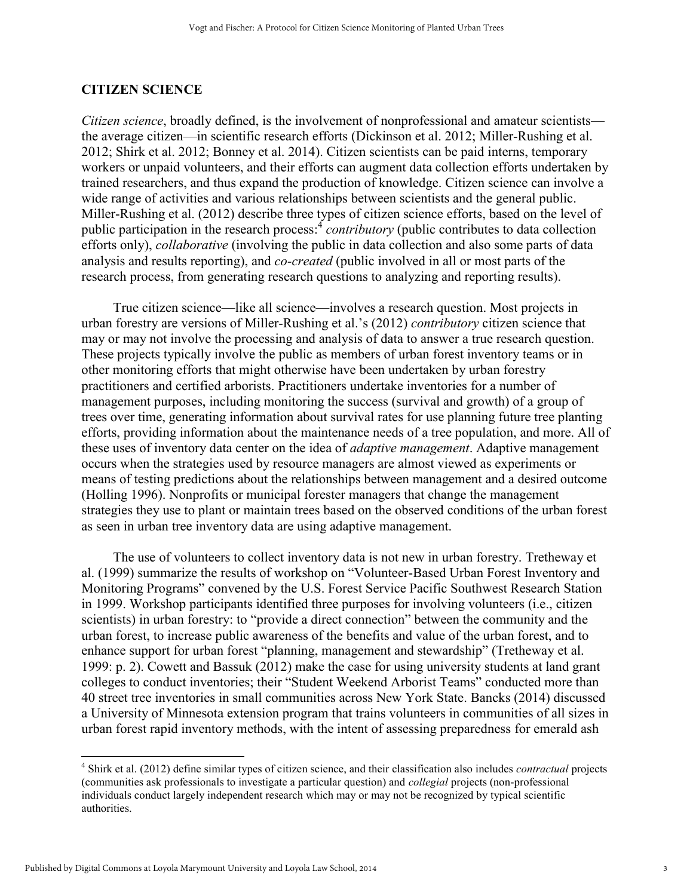## **CITIZEN SCIENCE**

*Citizen science*, broadly defined, is the involvement of nonprofessional and amateur scientists the average citizen—in scientific research efforts (Dickinson et al. 2012; Miller-Rushing et al. 2012; Shirk et al. 2012; Bonney et al. 2014). Citizen scientists can be paid interns, temporary workers or unpaid volunteers, and their efforts can augment data collection efforts undertaken by trained researchers, and thus expand the production of knowledge. Citizen science can involve a wide range of activities and various relationships between scientists and the general public. Miller-Rushing et al. (2012) describe three types of citizen science efforts, based on the level of public participation in the research process:<sup>4</sup> *contributory* (public contributes to data collection efforts only), *collaborative* (involving the public in data collection and also some parts of data analysis and results reporting), and *co-created* (public involved in all or most parts of the research process, from generating research questions to analyzing and reporting results).

 True citizen science—like all science—involves a research question. Most projects in urban forestry are versions of Miller-Rushing et al.'s (2012) *contributory* citizen science that may or may not involve the processing and analysis of data to answer a true research question. These projects typically involve the public as members of urban forest inventory teams or in other monitoring efforts that might otherwise have been undertaken by urban forestry practitioners and certified arborists. Practitioners undertake inventories for a number of management purposes, including monitoring the success (survival and growth) of a group of trees over time, generating information about survival rates for use planning future tree planting efforts, providing information about the maintenance needs of a tree population, and more. All of these uses of inventory data center on the idea of *adaptive management*. Adaptive management occurs when the strategies used by resource managers are almost viewed as experiments or means of testing predictions about the relationships between management and a desired outcome (Holling 1996). Nonprofits or municipal forester managers that change the management strategies they use to plant or maintain trees based on the observed conditions of the urban forest as seen in urban tree inventory data are using adaptive management.

 The use of volunteers to collect inventory data is not new in urban forestry. Tretheway et al. (1999) summarize the results of workshop on "Volunteer-Based Urban Forest Inventory and Monitoring Programs" convened by the U.S. Forest Service Pacific Southwest Research Station in 1999. Workshop participants identified three purposes for involving volunteers (i.e., citizen scientists) in urban forestry: to "provide a direct connection" between the community and the urban forest, to increase public awareness of the benefits and value of the urban forest, and to enhance support for urban forest "planning, management and stewardship" (Tretheway et al. 1999: p. 2). Cowett and Bassuk (2012) make the case for using university students at land grant colleges to conduct inventories; their "Student Weekend Arborist Teams" conducted more than 40 street tree inventories in small communities across New York State. Bancks (2014) discussed a University of Minnesota extension program that trains volunteers in communities of all sizes in urban forest rapid inventory methods, with the intent of assessing preparedness for emerald ash

 $\overline{a}$ 

<sup>4</sup> Shirk et al. (2012) define similar types of citizen science, and their classification also includes *contractual* projects (communities ask professionals to investigate a particular question) and *collegial* projects (non-professional individuals conduct largely independent research which may or may not be recognized by typical scientific authorities.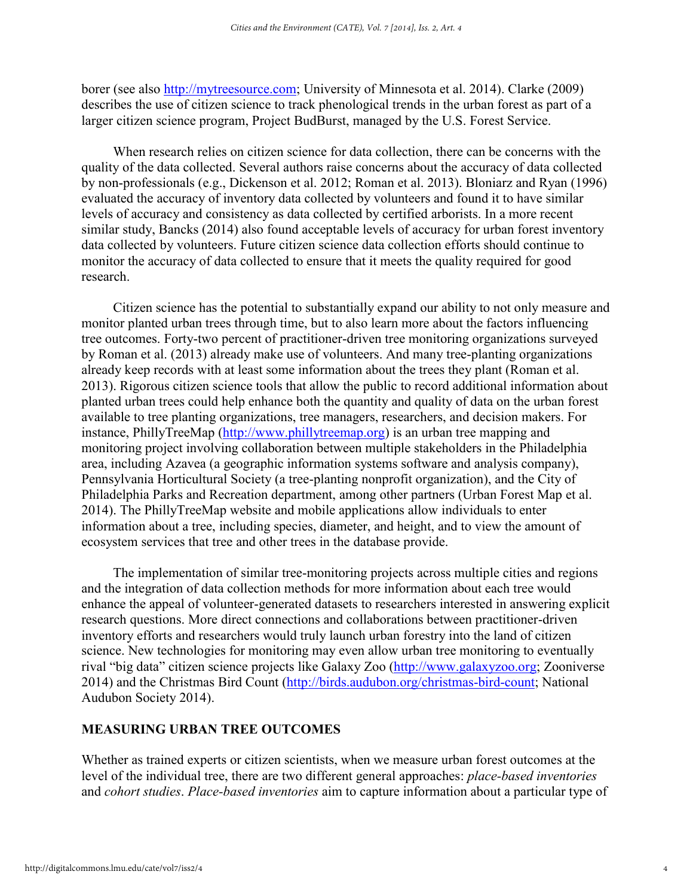borer (see also [http://mytreesource.com;](http://mytreesource.com/) University of Minnesota et al. 2014). Clarke (2009) describes the use of citizen science to track phenological trends in the urban forest as part of a larger citizen science program, Project BudBurst, managed by the U.S. Forest Service.

 When research relies on citizen science for data collection, there can be concerns with the quality of the data collected. Several authors raise concerns about the accuracy of data collected by non-professionals (e.g., Dickenson et al. 2012; Roman et al. 2013). Bloniarz and Ryan (1996) evaluated the accuracy of inventory data collected by volunteers and found it to have similar levels of accuracy and consistency as data collected by certified arborists. In a more recent similar study, Bancks (2014) also found acceptable levels of accuracy for urban forest inventory data collected by volunteers. Future citizen science data collection efforts should continue to monitor the accuracy of data collected to ensure that it meets the quality required for good research.

 Citizen science has the potential to substantially expand our ability to not only measure and monitor planted urban trees through time, but to also learn more about the factors influencing tree outcomes. Forty-two percent of practitioner-driven tree monitoring organizations surveyed by Roman et al. (2013) already make use of volunteers. And many tree-planting organizations already keep records with at least some information about the trees they plant (Roman et al. 2013). Rigorous citizen science tools that allow the public to record additional information about planted urban trees could help enhance both the quantity and quality of data on the urban forest available to tree planting organizations, tree managers, researchers, and decision makers. For instance, PhillyTreeMap [\(http://www.phillytreemap.org\)](http://www.phillytreemap.org/) is an urban tree mapping and monitoring project involving collaboration between multiple stakeholders in the Philadelphia area, including Azavea (a geographic information systems software and analysis company), Pennsylvania Horticultural Society (a tree-planting nonprofit organization), and the City of Philadelphia Parks and Recreation department, among other partners (Urban Forest Map et al. 2014). The PhillyTreeMap website and mobile applications allow individuals to enter information about a tree, including species, diameter, and height, and to view the amount of ecosystem services that tree and other trees in the database provide.

 The implementation of similar tree-monitoring projects across multiple cities and regions and the integration of data collection methods for more information about each tree would enhance the appeal of volunteer-generated datasets to researchers interested in answering explicit research questions. More direct connections and collaborations between practitioner-driven inventory efforts and researchers would truly launch urban forestry into the land of citizen science. New technologies for monitoring may even allow urban tree monitoring to eventually rival "big data" citizen science projects like Galaxy Zoo [\(http://www.galaxyzoo.org;](http://www.galaxyzoo.org/) Zooniverse 2014) and the Christmas Bird Count [\(http://birds.audubon.org/christmas-bird-count;](http://birds.audubon.org/christmas-bird-count) National Audubon Society 2014).

# **MEASURING URBAN TREE OUTCOMES**

Whether as trained experts or citizen scientists, when we measure urban forest outcomes at the level of the individual tree, there are two different general approaches: *place-based inventories*  and *cohort studies*. *Place-based inventories* aim to capture information about a particular type of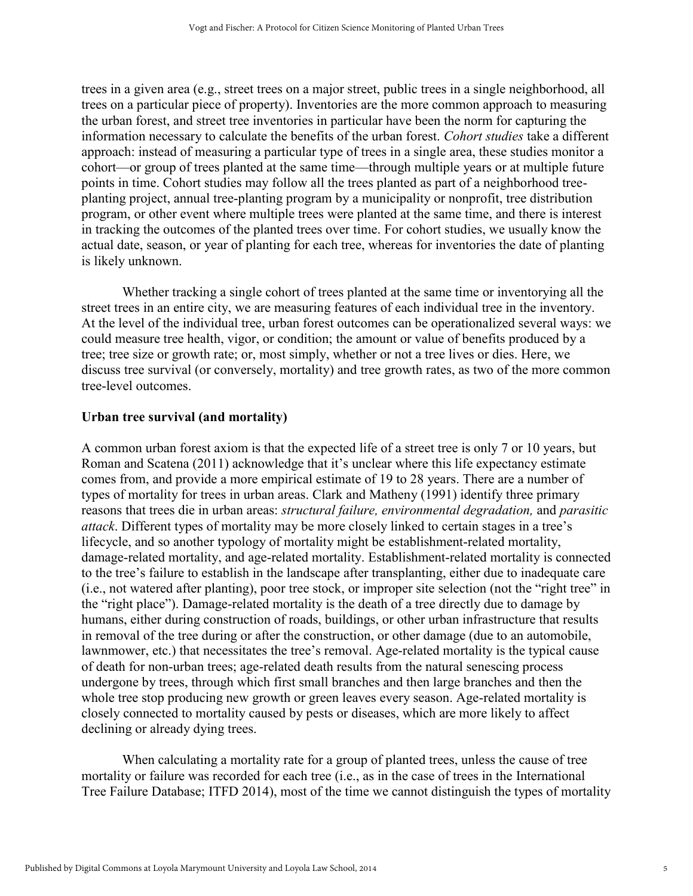trees in a given area (e.g., street trees on a major street, public trees in a single neighborhood, all trees on a particular piece of property). Inventories are the more common approach to measuring the urban forest, and street tree inventories in particular have been the norm for capturing the information necessary to calculate the benefits of the urban forest. *Cohort studies* take a different approach: instead of measuring a particular type of trees in a single area, these studies monitor a cohort—or group of trees planted at the same time—through multiple years or at multiple future points in time. Cohort studies may follow all the trees planted as part of a neighborhood treeplanting project, annual tree-planting program by a municipality or nonprofit, tree distribution program, or other event where multiple trees were planted at the same time, and there is interest in tracking the outcomes of the planted trees over time. For cohort studies, we usually know the actual date, season, or year of planting for each tree, whereas for inventories the date of planting is likely unknown.

 Whether tracking a single cohort of trees planted at the same time or inventorying all the street trees in an entire city, we are measuring features of each individual tree in the inventory. At the level of the individual tree, urban forest outcomes can be operationalized several ways: we could measure tree health, vigor, or condition; the amount or value of benefits produced by a tree; tree size or growth rate; or, most simply, whether or not a tree lives or dies. Here, we discuss tree survival (or conversely, mortality) and tree growth rates, as two of the more common tree-level outcomes.

# **Urban tree survival (and mortality)**

A common urban forest axiom is that the expected life of a street tree is only 7 or 10 years, but Roman and Scatena (2011) acknowledge that it's unclear where this life expectancy estimate comes from, and provide a more empirical estimate of 19 to 28 years. There are a number of types of mortality for trees in urban areas. Clark and Matheny (1991) identify three primary reasons that trees die in urban areas: *structural failure, environmental degradation,* and *parasitic attack*. Different types of mortality may be more closely linked to certain stages in a tree's lifecycle, and so another typology of mortality might be establishment-related mortality, damage-related mortality, and age-related mortality. Establishment-related mortality is connected to the tree's failure to establish in the landscape after transplanting, either due to inadequate care (i.e., not watered after planting), poor tree stock, or improper site selection (not the "right tree" in the "right place"). Damage-related mortality is the death of a tree directly due to damage by humans, either during construction of roads, buildings, or other urban infrastructure that results in removal of the tree during or after the construction, or other damage (due to an automobile, lawnmower, etc.) that necessitates the tree's removal. Age-related mortality is the typical cause of death for non-urban trees; age-related death results from the natural senescing process undergone by trees, through which first small branches and then large branches and then the whole tree stop producing new growth or green leaves every season. Age-related mortality is closely connected to mortality caused by pests or diseases, which are more likely to affect declining or already dying trees.

When calculating a mortality rate for a group of planted trees, unless the cause of tree mortality or failure was recorded for each tree (i.e., as in the case of trees in the International Tree Failure Database; ITFD 2014), most of the time we cannot distinguish the types of mortality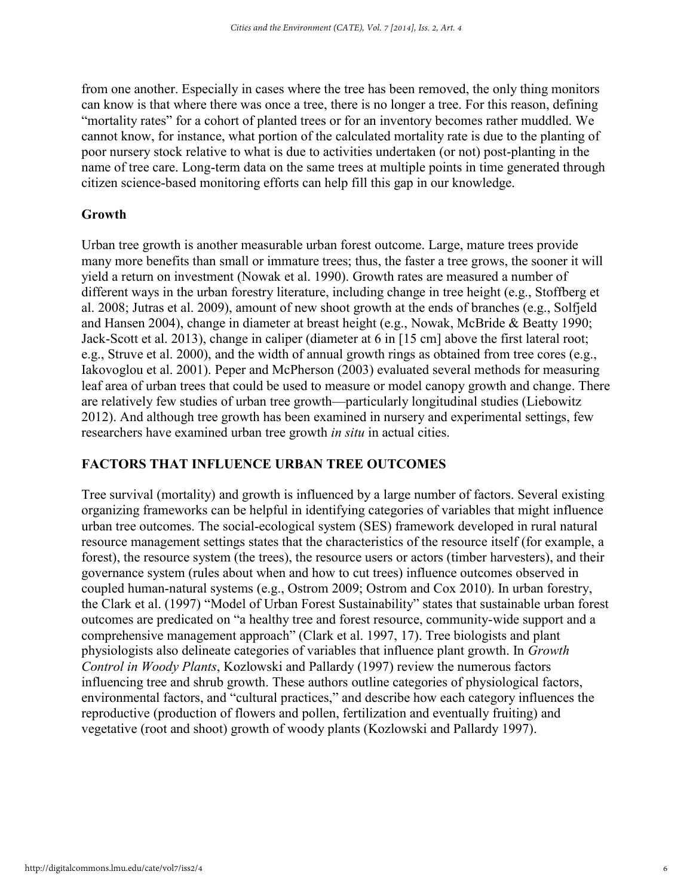from one another. Especially in cases where the tree has been removed, the only thing monitors can know is that where there was once a tree, there is no longer a tree. For this reason, defining "mortality rates" for a cohort of planted trees or for an inventory becomes rather muddled. We cannot know, for instance, what portion of the calculated mortality rate is due to the planting of poor nursery stock relative to what is due to activities undertaken (or not) post-planting in the name of tree care. Long-term data on the same trees at multiple points in time generated through citizen science-based monitoring efforts can help fill this gap in our knowledge.

# **Growth**

Urban tree growth is another measurable urban forest outcome. Large, mature trees provide many more benefits than small or immature trees; thus, the faster a tree grows, the sooner it will yield a return on investment (Nowak et al. 1990). Growth rates are measured a number of different ways in the urban forestry literature, including change in tree height (e.g., Stoffberg et al. 2008; Jutras et al. 2009), amount of new shoot growth at the ends of branches (e.g., Solfjeld and Hansen 2004), change in diameter at breast height (e.g., Nowak, McBride & Beatty 1990; Jack-Scott et al. 2013), change in caliper (diameter at 6 in [15 cm] above the first lateral root; e.g., Struve et al. 2000), and the width of annual growth rings as obtained from tree cores (e.g., Iakovoglou et al. 2001). Peper and McPherson (2003) evaluated several methods for measuring leaf area of urban trees that could be used to measure or model canopy growth and change. There are relatively few studies of urban tree growth—particularly longitudinal studies (Liebowitz 2012). And although tree growth has been examined in nursery and experimental settings, few researchers have examined urban tree growth *in situ* in actual cities.

# **FACTORS THAT INFLUENCE URBAN TREE OUTCOMES**

Tree survival (mortality) and growth is influenced by a large number of factors. Several existing organizing frameworks can be helpful in identifying categories of variables that might influence urban tree outcomes. The social-ecological system (SES) framework developed in rural natural resource management settings states that the characteristics of the resource itself (for example, a forest), the resource system (the trees), the resource users or actors (timber harvesters), and their governance system (rules about when and how to cut trees) influence outcomes observed in coupled human-natural systems (e.g., Ostrom 2009; Ostrom and Cox 2010). In urban forestry, the Clark et al. (1997) "Model of Urban Forest Sustainability" states that sustainable urban forest outcomes are predicated on "a healthy tree and forest resource, community-wide support and a comprehensive management approach" (Clark et al. 1997, 17). Tree biologists and plant physiologists also delineate categories of variables that influence plant growth. In *Growth Control in Woody Plants*, Kozlowski and Pallardy (1997) review the numerous factors influencing tree and shrub growth. These authors outline categories of physiological factors, environmental factors, and "cultural practices," and describe how each category influences the reproductive (production of flowers and pollen, fertilization and eventually fruiting) and vegetative (root and shoot) growth of woody plants (Kozlowski and Pallardy 1997).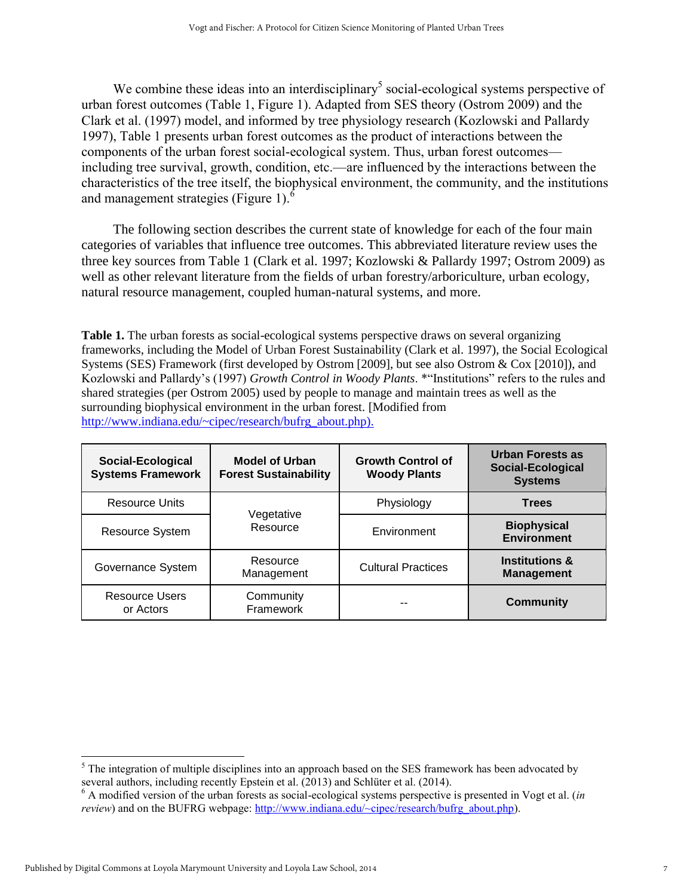We combine these ideas into an interdisciplinary<sup>5</sup> social-ecological systems perspective of urban forest outcomes (Table 1, Figure 1). Adapted from SES theory (Ostrom 2009) and the Clark et al. (1997) model, and informed by tree physiology research (Kozlowski and Pallardy 1997), Table 1 presents urban forest outcomes as the product of interactions between the components of the urban forest social-ecological system. Thus, urban forest outcomes including tree survival, growth, condition, etc.—are influenced by the interactions between the characteristics of the tree itself, the biophysical environment, the community, and the institutions and management strategies (Figure 1).<sup>6</sup>

 The following section describes the current state of knowledge for each of the four main categories of variables that influence tree outcomes. This abbreviated literature review uses the three key sources from Table 1 (Clark et al. 1997; Kozlowski & Pallardy 1997; Ostrom 2009) as well as other relevant literature from the fields of urban forestry/arboriculture, urban ecology, natural resource management, coupled human-natural systems, and more.

Table 1. The urban forests as social-ecological systems perspective draws on several organizing frameworks, including the Model of Urban Forest Sustainability (Clark et al. 1997), the Social Ecological Systems (SES) Framework (first developed by Ostrom [2009], but see also Ostrom & Cox [2010]), and Kozlowski and Pallardy's (1997) *Growth Control in Woody Plants*. \*"Institutions" refers to the rules and shared strategies (per Ostrom 2005) used by people to manage and maintain trees as well as the surrounding biophysical environment in the urban forest. [Modified from [http://www.indiana.edu/~cipec/research/bufrg\\_about.php\)](http://www.indiana.edu/~cipec/research/bufrg_about.php).

| Social-Ecological<br><b>Systems Framework</b> | <b>Model of Urban</b><br><b>Forest Sustainability</b> | <b>Growth Control of</b><br><b>Woody Plants</b> | <b>Urban Forests as</b><br><b>Social-Ecological</b><br><b>Systems</b> |  |
|-----------------------------------------------|-------------------------------------------------------|-------------------------------------------------|-----------------------------------------------------------------------|--|
| <b>Resource Units</b>                         | Vegetative                                            | Physiology                                      | <b>Trees</b>                                                          |  |
| <b>Resource System</b>                        | Resource                                              | Environment                                     | <b>Biophysical</b><br><b>Environment</b>                              |  |
| Governance System                             | Resource<br>Management                                | <b>Cultural Practices</b>                       | <b>Institutions &amp;</b><br><b>Management</b>                        |  |
| Resource Users<br>or Actors                   | Community<br>Framework                                |                                                 | <b>Community</b>                                                      |  |

 $\overline{a}$ 

 $<sup>5</sup>$  The integration of multiple disciplines into an approach based on the SES framework has been advocated by</sup> several authors, including recently Epstein et al. (2013) and Schlüter et al. (2014).

<sup>6</sup> A modified version of the urban forests as social-ecological systems perspective is presented in Vogt et al. (*in review*) and on the BUFRG webpage: [http://www.indiana.edu/~cipec/research/bufrg\\_about.php\)](http://www.indiana.edu/~cipec/research/bufrg_about.php).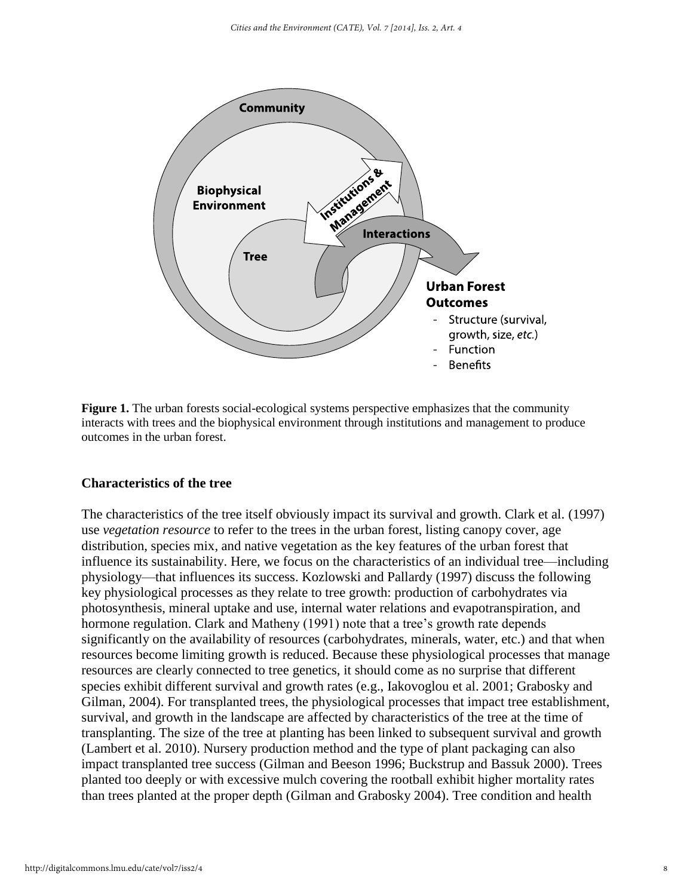

**Figure 1.** The urban forests social-ecological systems perspective emphasizes that the community interacts with trees and the biophysical environment through institutions and management to produce outcomes in the urban forest.

#### **Characteristics of the tree**

The characteristics of the tree itself obviously impact its survival and growth. Clark et al. (1997) use *vegetation resource* to refer to the trees in the urban forest, listing canopy cover, age distribution, species mix, and native vegetation as the key features of the urban forest that influence its sustainability. Here, we focus on the characteristics of an individual tree—including physiology—that influences its success. Kozlowski and Pallardy (1997) discuss the following key physiological processes as they relate to tree growth: production of carbohydrates via photosynthesis, mineral uptake and use, internal water relations and evapotranspiration, and hormone regulation. Clark and Matheny (1991) note that a tree's growth rate depends significantly on the availability of resources (carbohydrates, minerals, water, etc.) and that when resources become limiting growth is reduced. Because these physiological processes that manage resources are clearly connected to tree genetics, it should come as no surprise that different species exhibit different survival and growth rates (e.g., Iakovoglou et al. 2001; Grabosky and Gilman, 2004). For transplanted trees, the physiological processes that impact tree establishment, survival, and growth in the landscape are affected by characteristics of the tree at the time of transplanting. The size of the tree at planting has been linked to subsequent survival and growth (Lambert et al. 2010). Nursery production method and the type of plant packaging can also impact transplanted tree success (Gilman and Beeson 1996; Buckstrup and Bassuk 2000). Trees planted too deeply or with excessive mulch covering the rootball exhibit higher mortality rates than trees planted at the proper depth (Gilman and Grabosky 2004). Tree condition and health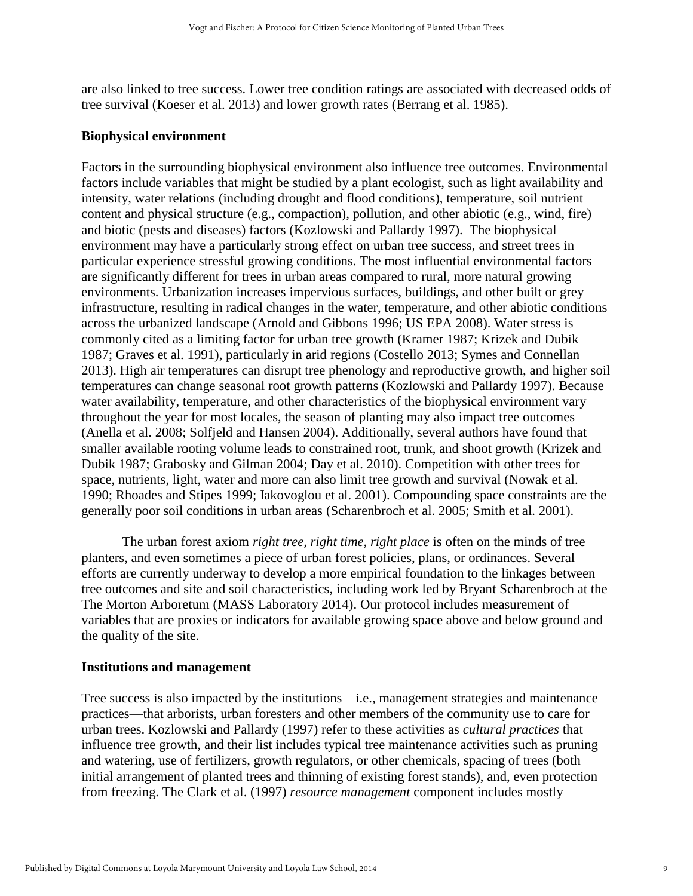are also linked to tree success. Lower tree condition ratings are associated with decreased odds of tree survival (Koeser et al. 2013) and lower growth rates (Berrang et al. 1985).

#### **Biophysical environment**

Factors in the surrounding biophysical environment also influence tree outcomes. Environmental factors include variables that might be studied by a plant ecologist, such as light availability and intensity, water relations (including drought and flood conditions), temperature, soil nutrient content and physical structure (e.g., compaction), pollution, and other abiotic (e.g., wind, fire) and biotic (pests and diseases) factors (Kozlowski and Pallardy 1997). The biophysical environment may have a particularly strong effect on urban tree success, and street trees in particular experience stressful growing conditions. The most influential environmental factors are significantly different for trees in urban areas compared to rural, more natural growing environments. Urbanization increases impervious surfaces, buildings, and other built or grey infrastructure, resulting in radical changes in the water, temperature, and other abiotic conditions across the urbanized landscape (Arnold and Gibbons 1996; US EPA 2008). Water stress is commonly cited as a limiting factor for urban tree growth (Kramer 1987; Krizek and Dubik 1987; Graves et al. 1991), particularly in arid regions (Costello 2013; Symes and Connellan 2013). High air temperatures can disrupt tree phenology and reproductive growth, and higher soil temperatures can change seasonal root growth patterns (Kozlowski and Pallardy 1997). Because water availability, temperature, and other characteristics of the biophysical environment vary throughout the year for most locales, the season of planting may also impact tree outcomes (Anella et al. 2008; Solfjeld and Hansen 2004). Additionally, several authors have found that smaller available rooting volume leads to constrained root, trunk, and shoot growth (Krizek and Dubik 1987; Grabosky and Gilman 2004; Day et al. 2010). Competition with other trees for space, nutrients, light, water and more can also limit tree growth and survival (Nowak et al. 1990; Rhoades and Stipes 1999; Iakovoglou et al. 2001). Compounding space constraints are the generally poor soil conditions in urban areas (Scharenbroch et al. 2005; Smith et al. 2001).

 The urban forest axiom *right tree, right time, right place* is often on the minds of tree planters, and even sometimes a piece of urban forest policies, plans, or ordinances. Several efforts are currently underway to develop a more empirical foundation to the linkages between tree outcomes and site and soil characteristics, including work led by Bryant Scharenbroch at the The Morton Arboretum (MASS Laboratory 2014). Our protocol includes measurement of variables that are proxies or indicators for available growing space above and below ground and the quality of the site.

#### **Institutions and management**

Tree success is also impacted by the institutions—i.e., management strategies and maintenance practices—that arborists, urban foresters and other members of the community use to care for urban trees. Kozlowski and Pallardy (1997) refer to these activities as *cultural practices* that influence tree growth, and their list includes typical tree maintenance activities such as pruning and watering, use of fertilizers, growth regulators, or other chemicals, spacing of trees (both initial arrangement of planted trees and thinning of existing forest stands), and, even protection from freezing. The Clark et al. (1997) *resource management* component includes mostly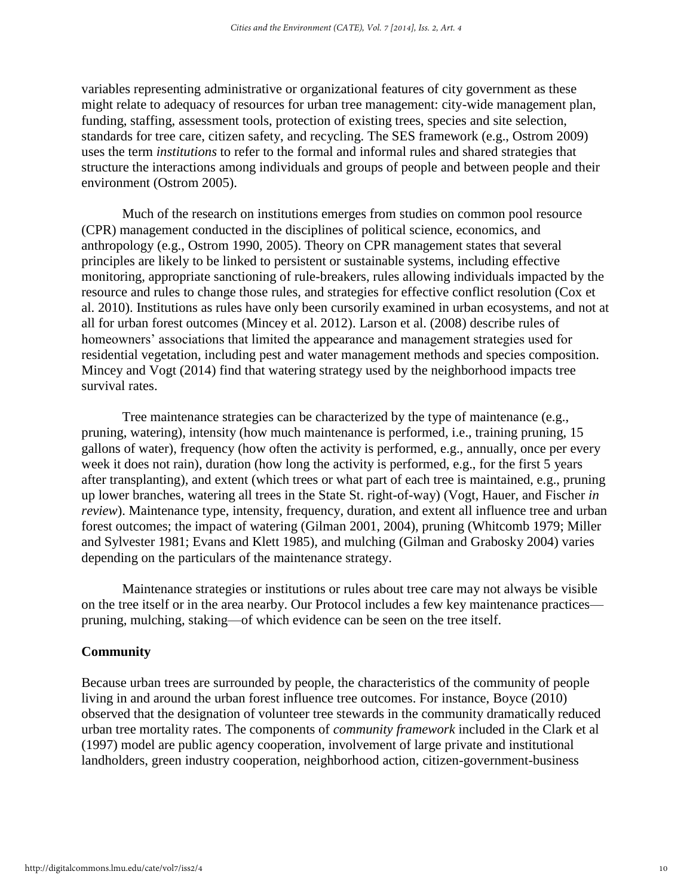variables representing administrative or organizational features of city government as these might relate to adequacy of resources for urban tree management: city-wide management plan, funding, staffing, assessment tools, protection of existing trees, species and site selection, standards for tree care, citizen safety, and recycling. The SES framework (e.g., Ostrom 2009) uses the term *institutions* to refer to the formal and informal rules and shared strategies that structure the interactions among individuals and groups of people and between people and their environment (Ostrom 2005).

 Much of the research on institutions emerges from studies on common pool resource (CPR) management conducted in the disciplines of political science, economics, and anthropology (e.g., Ostrom 1990, 2005). Theory on CPR management states that several principles are likely to be linked to persistent or sustainable systems, including effective monitoring, appropriate sanctioning of rule-breakers, rules allowing individuals impacted by the resource and rules to change those rules, and strategies for effective conflict resolution (Cox et al. 2010). Institutions as rules have only been cursorily examined in urban ecosystems, and not at all for urban forest outcomes (Mincey et al. 2012). Larson et al. (2008) describe rules of homeowners' associations that limited the appearance and management strategies used for residential vegetation, including pest and water management methods and species composition. Mincey and Vogt (2014) find that watering strategy used by the neighborhood impacts tree survival rates.

Tree maintenance strategies can be characterized by the type of maintenance (e.g., pruning, watering), intensity (how much maintenance is performed, i.e., training pruning, 15 gallons of water), frequency (how often the activity is performed, e.g., annually, once per every week it does not rain), duration (how long the activity is performed, e.g., for the first 5 years after transplanting), and extent (which trees or what part of each tree is maintained, e.g., pruning up lower branches, watering all trees in the State St. right-of-way) (Vogt, Hauer, and Fischer *in review*). Maintenance type, intensity, frequency, duration, and extent all influence tree and urban forest outcomes; the impact of watering (Gilman 2001, 2004), pruning (Whitcomb 1979; Miller and Sylvester 1981; Evans and Klett 1985), and mulching (Gilman and Grabosky 2004) varies depending on the particulars of the maintenance strategy.

Maintenance strategies or institutions or rules about tree care may not always be visible on the tree itself or in the area nearby. Our Protocol includes a few key maintenance practices pruning, mulching, staking—of which evidence can be seen on the tree itself.

# **Community**

Because urban trees are surrounded by people, the characteristics of the community of people living in and around the urban forest influence tree outcomes. For instance, Boyce (2010) observed that the designation of volunteer tree stewards in the community dramatically reduced urban tree mortality rates. The components of *community framework* included in the Clark et al (1997) model are public agency cooperation, involvement of large private and institutional landholders, green industry cooperation, neighborhood action, citizen-government-business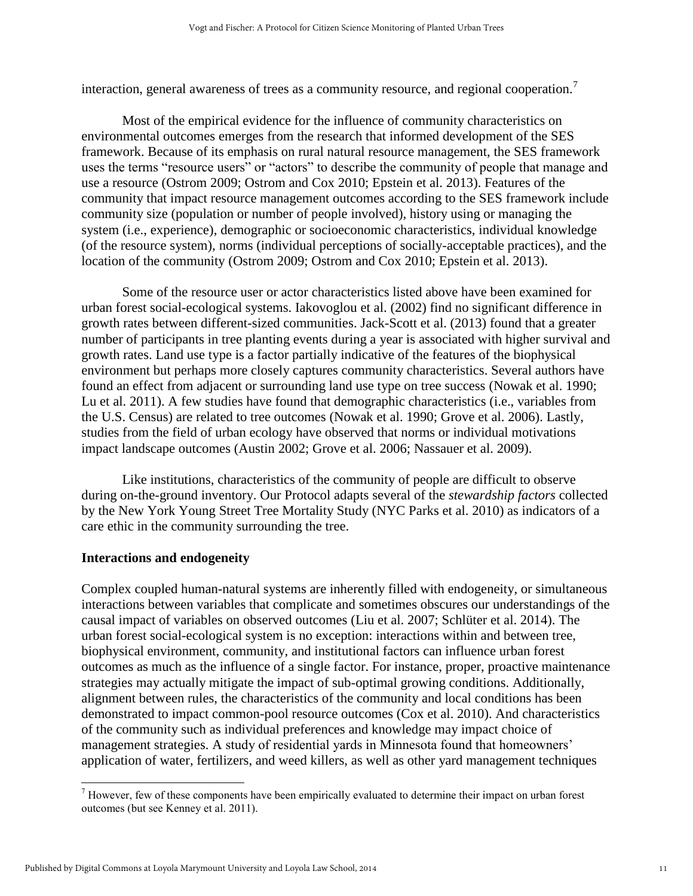interaction, general awareness of trees as a community resource, and regional cooperation.<sup>7</sup>

Most of the empirical evidence for the influence of community characteristics on environmental outcomes emerges from the research that informed development of the SES framework. Because of its emphasis on rural natural resource management, the SES framework uses the terms "resource users" or "actors" to describe the community of people that manage and use a resource (Ostrom 2009; Ostrom and Cox 2010; Epstein et al. 2013). Features of the community that impact resource management outcomes according to the SES framework include community size (population or number of people involved), history using or managing the system (i.e., experience), demographic or socioeconomic characteristics, individual knowledge (of the resource system), norms (individual perceptions of socially-acceptable practices), and the location of the community (Ostrom 2009; Ostrom and Cox 2010; Epstein et al. 2013).

Some of the resource user or actor characteristics listed above have been examined for urban forest social-ecological systems. Iakovoglou et al. (2002) find no significant difference in growth rates between different-sized communities. Jack-Scott et al. (2013) found that a greater number of participants in tree planting events during a year is associated with higher survival and growth rates. Land use type is a factor partially indicative of the features of the biophysical environment but perhaps more closely captures community characteristics. Several authors have found an effect from adjacent or surrounding land use type on tree success (Nowak et al. 1990; Lu et al. 2011). A few studies have found that demographic characteristics (i.e., variables from the U.S. Census) are related to tree outcomes (Nowak et al. 1990; Grove et al. 2006). Lastly, studies from the field of urban ecology have observed that norms or individual motivations impact landscape outcomes (Austin 2002; Grove et al. 2006; Nassauer et al. 2009).

Like institutions, characteristics of the community of people are difficult to observe during on-the-ground inventory. Our Protocol adapts several of the *stewardship factors* collected by the New York Young Street Tree Mortality Study (NYC Parks et al. 2010) as indicators of a care ethic in the community surrounding the tree.

#### **Interactions and endogeneity**

l

Complex coupled human-natural systems are inherently filled with endogeneity, or simultaneous interactions between variables that complicate and sometimes obscures our understandings of the causal impact of variables on observed outcomes (Liu et al. 2007; Schlüter et al. 2014). The urban forest social-ecological system is no exception: interactions within and between tree, biophysical environment, community, and institutional factors can influence urban forest outcomes as much as the influence of a single factor. For instance, proper, proactive maintenance strategies may actually mitigate the impact of sub-optimal growing conditions. Additionally, alignment between rules, the characteristics of the community and local conditions has been demonstrated to impact common-pool resource outcomes (Cox et al. 2010). And characteristics of the community such as individual preferences and knowledge may impact choice of management strategies. A study of residential yards in Minnesota found that homeowners' application of water, fertilizers, and weed killers, as well as other yard management techniques

 $<sup>7</sup>$  However, few of these components have been empirically evaluated to determine their impact on urban forest</sup> outcomes (but see Kenney et al. 2011).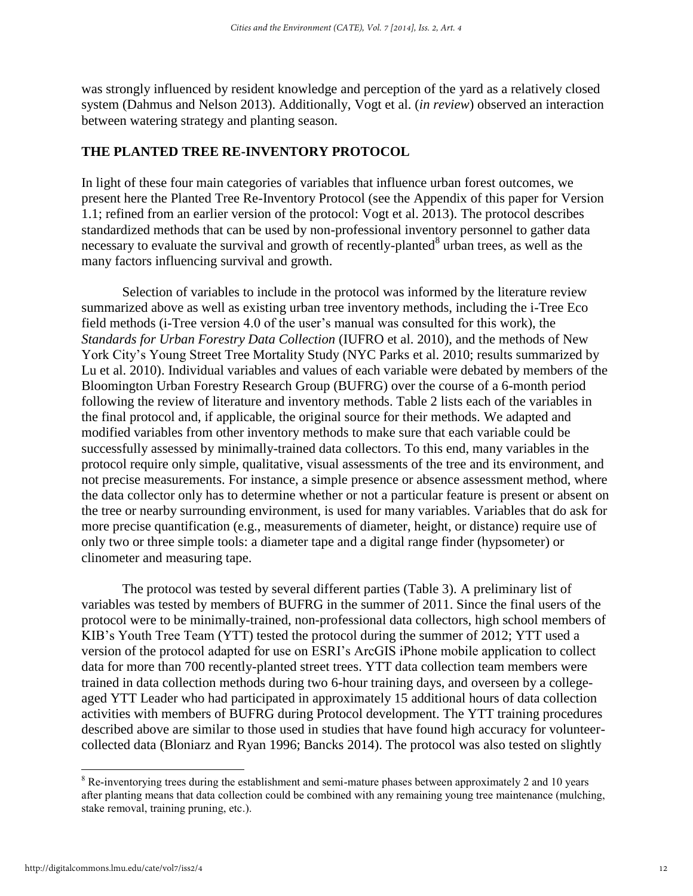was strongly influenced by resident knowledge and perception of the yard as a relatively closed system (Dahmus and Nelson 2013). Additionally, Vogt et al. (*in review*) observed an interaction between watering strategy and planting season.

### **THE PLANTED TREE RE-INVENTORY PROTOCOL**

In light of these four main categories of variables that influence urban forest outcomes, we present here the Planted Tree Re-Inventory Protocol (see the Appendix of this paper for Version 1.1; refined from an earlier version of the protocol: Vogt et al. 2013). The protocol describes standardized methods that can be used by non-professional inventory personnel to gather data necessary to evaluate the survival and growth of recently-planted<sup>8</sup> urban trees, as well as the many factors influencing survival and growth.

 Selection of variables to include in the protocol was informed by the literature review summarized above as well as existing urban tree inventory methods, including the i-Tree Eco field methods (i-Tree version 4.0 of the user's manual was consulted for this work), the *Standards for Urban Forestry Data Collection* (IUFRO et al. 2010), and the methods of New York City's Young Street Tree Mortality Study (NYC Parks et al. 2010; results summarized by Lu et al. 2010). Individual variables and values of each variable were debated by members of the Bloomington Urban Forestry Research Group (BUFRG) over the course of a 6-month period following the review of literature and inventory methods. Table 2 lists each of the variables in the final protocol and, if applicable, the original source for their methods. We adapted and modified variables from other inventory methods to make sure that each variable could be successfully assessed by minimally-trained data collectors. To this end, many variables in the protocol require only simple, qualitative, visual assessments of the tree and its environment, and not precise measurements. For instance, a simple presence or absence assessment method, where the data collector only has to determine whether or not a particular feature is present or absent on the tree or nearby surrounding environment, is used for many variables. Variables that do ask for more precise quantification (e.g., measurements of diameter, height, or distance) require use of only two or three simple tools: a diameter tape and a digital range finder (hypsometer) or clinometer and measuring tape.

 The protocol was tested by several different parties (Table 3). A preliminary list of variables was tested by members of BUFRG in the summer of 2011. Since the final users of the protocol were to be minimally-trained, non-professional data collectors, high school members of KIB's Youth Tree Team (YTT) tested the protocol during the summer of 2012; YTT used a version of the protocol adapted for use on ESRI's ArcGIS iPhone mobile application to collect data for more than 700 recently-planted street trees. YTT data collection team members were trained in data collection methods during two 6-hour training days, and overseen by a collegeaged YTT Leader who had participated in approximately 15 additional hours of data collection activities with members of BUFRG during Protocol development. The YTT training procedures described above are similar to those used in studies that have found high accuracy for volunteercollected data (Bloniarz and Ryan 1996; Bancks 2014). The protocol was also tested on slightly

 $\overline{a}$ 

<sup>&</sup>lt;sup>8</sup> Re-inventorying trees during the establishment and semi-mature phases between approximately 2 and 10 years after planting means that data collection could be combined with any remaining young tree maintenance (mulching, stake removal, training pruning, etc.).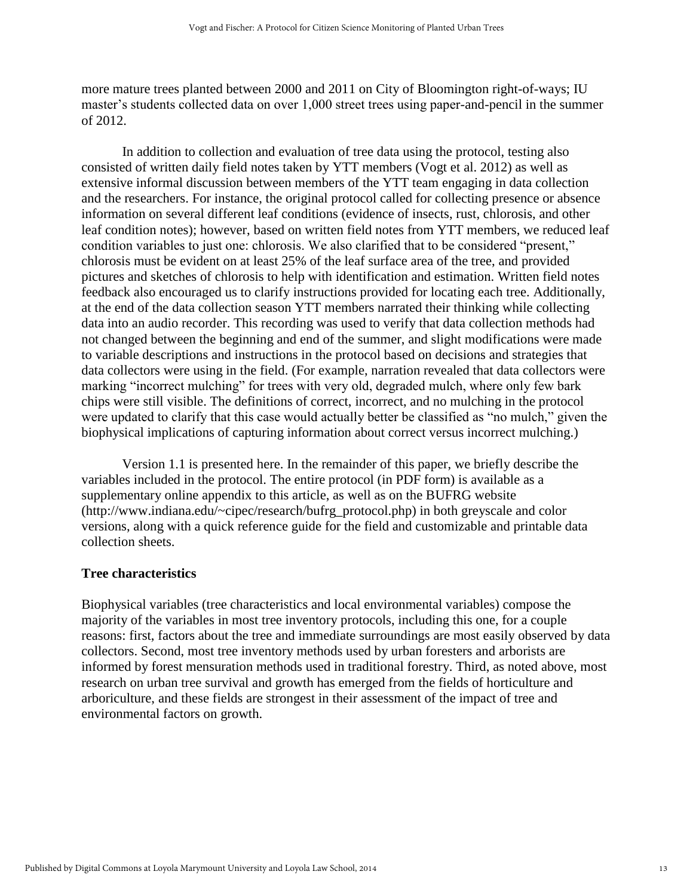more mature trees planted between 2000 and 2011 on City of Bloomington right-of-ways; IU master's students collected data on over 1,000 street trees using paper-and-pencil in the summer of 2012.

 In addition to collection and evaluation of tree data using the protocol, testing also consisted of written daily field notes taken by YTT members (Vogt et al. 2012) as well as extensive informal discussion between members of the YTT team engaging in data collection and the researchers. For instance, the original protocol called for collecting presence or absence information on several different leaf conditions (evidence of insects, rust, chlorosis, and other leaf condition notes); however, based on written field notes from YTT members, we reduced leaf condition variables to just one: chlorosis. We also clarified that to be considered "present," chlorosis must be evident on at least 25% of the leaf surface area of the tree, and provided pictures and sketches of chlorosis to help with identification and estimation. Written field notes feedback also encouraged us to clarify instructions provided for locating each tree. Additionally, at the end of the data collection season YTT members narrated their thinking while collecting data into an audio recorder. This recording was used to verify that data collection methods had not changed between the beginning and end of the summer, and slight modifications were made to variable descriptions and instructions in the protocol based on decisions and strategies that data collectors were using in the field. (For example, narration revealed that data collectors were marking "incorrect mulching" for trees with very old, degraded mulch, where only few bark chips were still visible. The definitions of correct, incorrect, and no mulching in the protocol were updated to clarify that this case would actually better be classified as "no mulch," given the biophysical implications of capturing information about correct versus incorrect mulching.)

 Version 1.1 is presented here. In the remainder of this paper, we briefly describe the variables included in the protocol. The entire protocol (in PDF form) is available as a supplementary online appendix to this article, as well as on the BUFRG website (http://www.indiana.edu/~cipec/research/bufrg\_protocol.php) in both greyscale and color versions, along with a quick reference guide for the field and customizable and printable data collection sheets.

#### **Tree characteristics**

Biophysical variables (tree characteristics and local environmental variables) compose the majority of the variables in most tree inventory protocols, including this one, for a couple reasons: first, factors about the tree and immediate surroundings are most easily observed by data collectors. Second, most tree inventory methods used by urban foresters and arborists are informed by forest mensuration methods used in traditional forestry. Third, as noted above, most research on urban tree survival and growth has emerged from the fields of horticulture and arboriculture, and these fields are strongest in their assessment of the impact of tree and environmental factors on growth.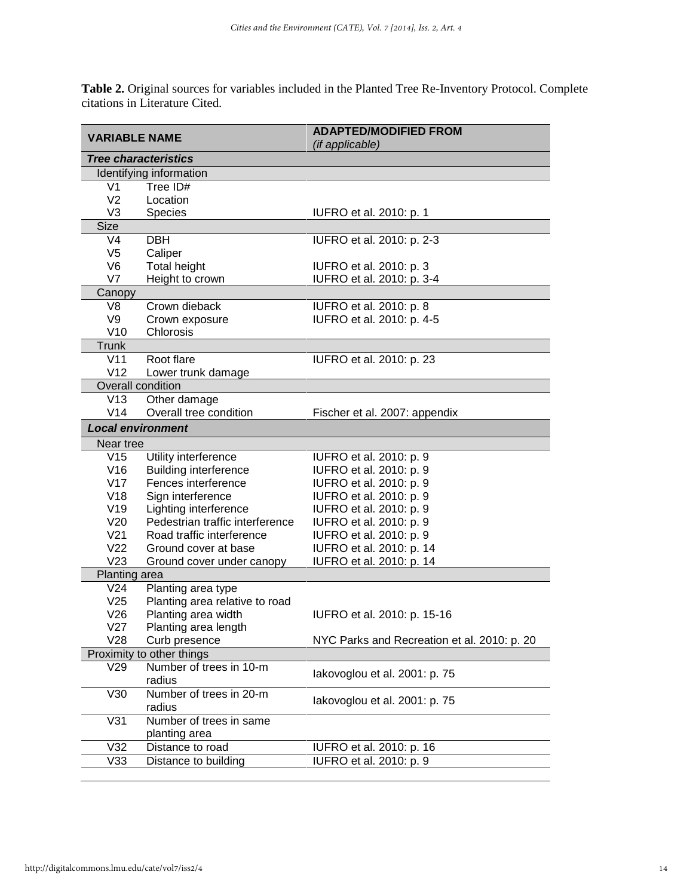|                                | Table 2. Original sources for variables included in the Planted Tree Re-Inventory Protocol. Complete |  |  |
|--------------------------------|------------------------------------------------------------------------------------------------------|--|--|
| citations in Literature Cited. |                                                                                                      |  |  |

| <b>VARIABLE NAME</b>      |                                 | <b>ADAPTED/MODIFIED FROM</b><br>(if applicable) |  |  |
|---------------------------|---------------------------------|-------------------------------------------------|--|--|
|                           | <b>Tree characteristics</b>     |                                                 |  |  |
|                           | Identifying information         |                                                 |  |  |
| V1                        | Tree ID#                        |                                                 |  |  |
| V <sub>2</sub>            | Location                        |                                                 |  |  |
| V <sub>3</sub>            | <b>Species</b>                  | IUFRO et al. 2010: p. 1                         |  |  |
| Size                      |                                 |                                                 |  |  |
| V <sub>4</sub>            | <b>DBH</b>                      | IUFRO et al. 2010: p. 2-3                       |  |  |
| V <sub>5</sub>            | Caliper                         |                                                 |  |  |
| V <sub>6</sub>            | <b>Total height</b>             | IUFRO et al. 2010: p. 3                         |  |  |
| V <sub>7</sub>            | Height to crown                 | IUFRO et al. 2010: p. 3-4                       |  |  |
| Canopy                    |                                 |                                                 |  |  |
| V8                        | Crown dieback                   | IUFRO et al. 2010: p. 8                         |  |  |
| V9                        | Crown exposure                  | IUFRO et al. 2010: p. 4-5                       |  |  |
| V10                       | Chlorosis                       |                                                 |  |  |
| Trunk                     |                                 |                                                 |  |  |
| V11                       | Root flare                      | IUFRO et al. 2010: p. 23                        |  |  |
| V12                       | Lower trunk damage              |                                                 |  |  |
|                           | Overall condition               |                                                 |  |  |
| V13                       | Other damage                    |                                                 |  |  |
| V14                       | Overall tree condition          | Fischer et al. 2007: appendix                   |  |  |
|                           | <b>Local environment</b>        |                                                 |  |  |
| Near tree                 |                                 |                                                 |  |  |
| V15                       | Utility interference            | IUFRO et al. 2010: p. 9                         |  |  |
| V16                       | <b>Building interference</b>    | IUFRO et al. 2010: p. 9                         |  |  |
| V17                       | Fences interference             | IUFRO et al. 2010: p. 9                         |  |  |
| V18                       | Sign interference               | IUFRO et al. 2010: p. 9                         |  |  |
| V19                       | Lighting interference           | IUFRO et al. 2010: p. 9                         |  |  |
| V20                       | Pedestrian traffic interference | IUFRO et al. 2010: p. 9                         |  |  |
| V <sub>21</sub>           | Road traffic interference       | IUFRO et al. 2010: p. 9                         |  |  |
| V22                       | Ground cover at base            | IUFRO et al. 2010: p. 14                        |  |  |
| V23                       | Ground cover under canopy       | IUFRO et al. 2010: p. 14                        |  |  |
| Planting area             |                                 |                                                 |  |  |
| V24                       | Planting area type              |                                                 |  |  |
| V <sub>25</sub>           | Planting area relative to road  |                                                 |  |  |
| V26                       | Planting area width             | IUFRO et al. 2010: p. 15-16                     |  |  |
| V27                       | Planting area length            |                                                 |  |  |
| V28                       | Curb presence                   | NYC Parks and Recreation et al. 2010: p. 20     |  |  |
| Proximity to other things |                                 |                                                 |  |  |
| V29                       | Number of trees in 10-m         | lakovoglou et al. 2001: p. 75                   |  |  |
|                           | radius                          |                                                 |  |  |
| V30                       | Number of trees in 20-m         | lakovoglou et al. 2001: p. 75                   |  |  |
|                           | radius                          |                                                 |  |  |
| V31                       | Number of trees in same         |                                                 |  |  |
|                           | planting area                   |                                                 |  |  |
| V32                       | Distance to road                | IUFRO et al. 2010: p. 16                        |  |  |
| V33                       | Distance to building            | IUFRO et al. 2010: p. 9                         |  |  |
|                           |                                 |                                                 |  |  |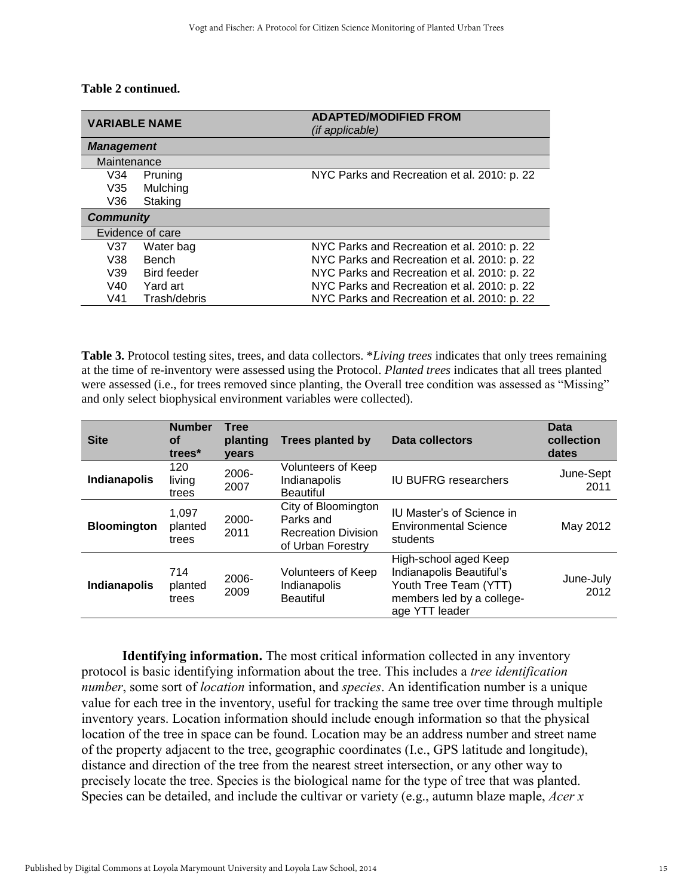#### **Table 2 continued.**

| <b>VARIABLE NAME</b> |                    | <b>ADAPTED/MODIFIED FROM</b><br>(if applicable) |  |  |
|----------------------|--------------------|-------------------------------------------------|--|--|
| <b>Management</b>    |                    |                                                 |  |  |
| Maintenance          |                    |                                                 |  |  |
| V34.                 | Pruning            | NYC Parks and Recreation et al. 2010: p. 22     |  |  |
| V35                  | Mulching           |                                                 |  |  |
| V36                  | Staking            |                                                 |  |  |
| <b>Community</b>     |                    |                                                 |  |  |
|                      |                    |                                                 |  |  |
|                      | Evidence of care   |                                                 |  |  |
| V37                  | Water bag          | NYC Parks and Recreation et al. 2010: p. 22     |  |  |
| V38.                 | Bench              | NYC Parks and Recreation et al. 2010: p. 22     |  |  |
| V39                  | <b>Bird feeder</b> | NYC Parks and Recreation et al. 2010: p. 22     |  |  |
| V40                  | Yard art           | NYC Parks and Recreation et al. 2010: p. 22     |  |  |

**Table 3.** Protocol testing sites, trees, and data collectors. \**Living trees* indicates that only trees remaining at the time of re-inventory were assessed using the Protocol. *Planted trees* indicates that all trees planted were assessed (i.e., for trees removed since planting, the Overall tree condition was assessed as "Missing" and only select biophysical environment variables were collected).

| <b>Site</b>         | <b>Number</b><br>οf<br>trees* | <b>Tree</b><br>planting<br><b>vears</b> | <b>Trees planted by</b>                                                             | Data collectors                                                                                                           | Data<br>collection<br>dates |
|---------------------|-------------------------------|-----------------------------------------|-------------------------------------------------------------------------------------|---------------------------------------------------------------------------------------------------------------------------|-----------------------------|
| <b>Indianapolis</b> | 120<br>living<br>trees        | 2006-<br>2007                           | Volunteers of Keep<br>Indianapolis<br><b>Beautiful</b>                              | <b>IU BUFRG researchers</b>                                                                                               | June-Sept<br>2011           |
| <b>Bloomington</b>  | 1.097<br>planted<br>trees     | 2000-<br>2011                           | City of Bloomington<br>Parks and<br><b>Recreation Division</b><br>of Urban Forestry | IU Master's of Science in<br><b>Environmental Science</b><br>students                                                     | May 2012                    |
| <b>Indianapolis</b> | 714<br>planted<br>trees       | 2006-<br>2009                           | Volunteers of Keep<br>Indianapolis<br><b>Beautiful</b>                              | High-school aged Keep<br>Indianapolis Beautiful's<br>Youth Tree Team (YTT)<br>members led by a college-<br>age YTT leader | June-July<br>2012           |

 **Identifying information.** The most critical information collected in any inventory protocol is basic identifying information about the tree. This includes a *tree identification number*, some sort of *location* information, and *species*. An identification number is a unique value for each tree in the inventory, useful for tracking the same tree over time through multiple inventory years. Location information should include enough information so that the physical location of the tree in space can be found. Location may be an address number and street name of the property adjacent to the tree, geographic coordinates (I.e., GPS latitude and longitude), distance and direction of the tree from the nearest street intersection, or any other way to precisely locate the tree. Species is the biological name for the type of tree that was planted. Species can be detailed, and include the cultivar or variety (e.g., autumn blaze maple, *Acer x*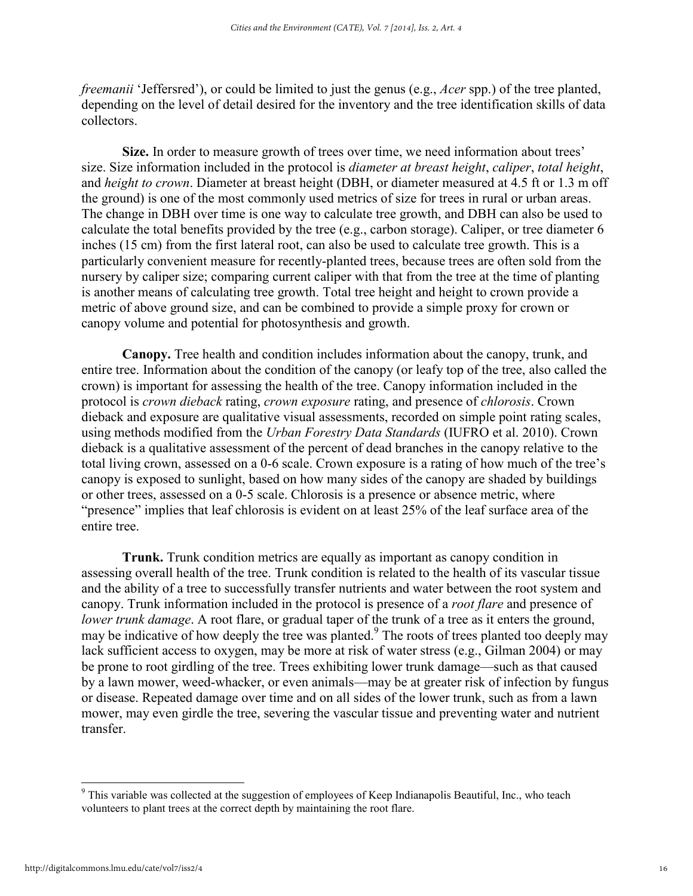*freemanii* 'Jeffersred'), or could be limited to just the genus (e.g., *Acer* spp.) of the tree planted, depending on the level of detail desired for the inventory and the tree identification skills of data collectors.

Size. In order to measure growth of trees over time, we need information about trees' size. Size information included in the protocol is *diameter at breast height*, *caliper*, *total height*, and *height to crown*. Diameter at breast height (DBH, or diameter measured at 4.5 ft or 1.3 m off the ground) is one of the most commonly used metrics of size for trees in rural or urban areas. The change in DBH over time is one way to calculate tree growth, and DBH can also be used to calculate the total benefits provided by the tree (e.g., carbon storage). Caliper, or tree diameter 6 inches (15 cm) from the first lateral root, can also be used to calculate tree growth. This is a particularly convenient measure for recently-planted trees, because trees are often sold from the nursery by caliper size; comparing current caliper with that from the tree at the time of planting is another means of calculating tree growth. Total tree height and height to crown provide a metric of above ground size, and can be combined to provide a simple proxy for crown or canopy volume and potential for photosynthesis and growth.

 **Canopy.** Tree health and condition includes information about the canopy, trunk, and entire tree. Information about the condition of the canopy (or leafy top of the tree, also called the crown) is important for assessing the health of the tree. Canopy information included in the protocol is *crown dieback* rating, *crown exposure* rating, and presence of *chlorosis*. Crown dieback and exposure are qualitative visual assessments, recorded on simple point rating scales, using methods modified from the *Urban Forestry Data Standards* (IUFRO et al. 2010). Crown dieback is a qualitative assessment of the percent of dead branches in the canopy relative to the total living crown, assessed on a 0-6 scale. Crown exposure is a rating of how much of the tree's canopy is exposed to sunlight, based on how many sides of the canopy are shaded by buildings or other trees, assessed on a 0-5 scale. Chlorosis is a presence or absence metric, where "presence" implies that leaf chlorosis is evident on at least 25% of the leaf surface area of the entire tree.

 **Trunk.** Trunk condition metrics are equally as important as canopy condition in assessing overall health of the tree. Trunk condition is related to the health of its vascular tissue and the ability of a tree to successfully transfer nutrients and water between the root system and canopy. Trunk information included in the protocol is presence of a *root flare* and presence of *lower trunk damage*. A root flare, or gradual taper of the trunk of a tree as it enters the ground, may be indicative of how deeply the tree was planted.<sup>9</sup> The roots of trees planted too deeply may lack sufficient access to oxygen, may be more at risk of water stress (e.g., Gilman 2004) or may be prone to root girdling of the tree. Trees exhibiting lower trunk damage—such as that caused by a lawn mower, weed-whacker, or even animals—may be at greater risk of infection by fungus or disease. Repeated damage over time and on all sides of the lower trunk, such as from a lawn mower, may even girdle the tree, severing the vascular tissue and preventing water and nutrient transfer.

<sup>&</sup>lt;sup>9</sup> This variable was collected at the suggestion of employees of Keep Indianapolis Beautiful, Inc., who teach volunteers to plant trees at the correct depth by maintaining the root flare.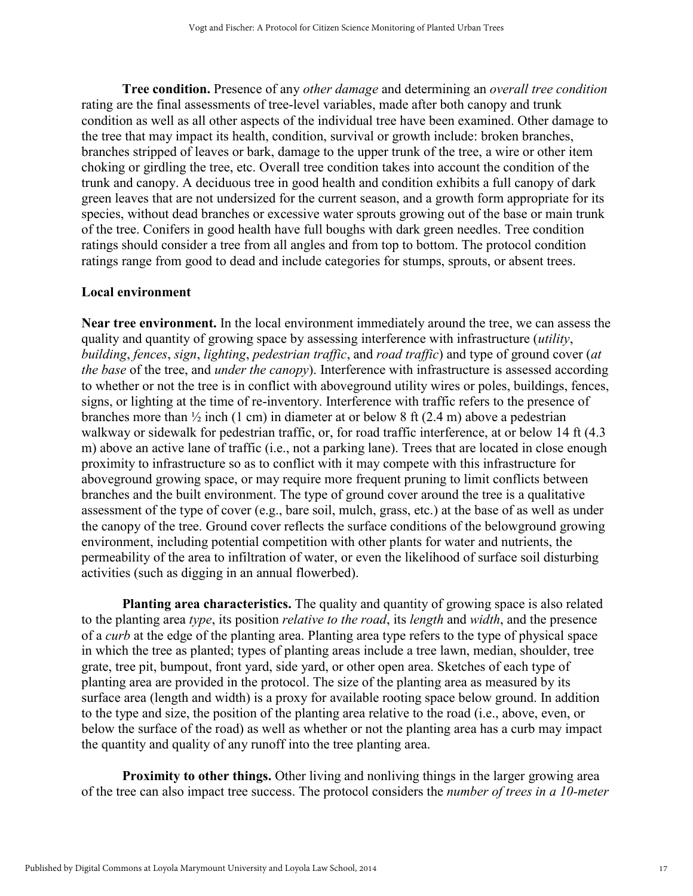**Tree condition.** Presence of any *other damage* and determining an *overall tree condition* rating are the final assessments of tree-level variables, made after both canopy and trunk condition as well as all other aspects of the individual tree have been examined. Other damage to the tree that may impact its health, condition, survival or growth include: broken branches, branches stripped of leaves or bark, damage to the upper trunk of the tree, a wire or other item choking or girdling the tree, etc. Overall tree condition takes into account the condition of the trunk and canopy. A deciduous tree in good health and condition exhibits a full canopy of dark green leaves that are not undersized for the current season, and a growth form appropriate for its species, without dead branches or excessive water sprouts growing out of the base or main trunk of the tree. Conifers in good health have full boughs with dark green needles. Tree condition ratings should consider a tree from all angles and from top to bottom. The protocol condition ratings range from good to dead and include categories for stumps, sprouts, or absent trees.

#### **Local environment**

**Near tree environment.** In the local environment immediately around the tree, we can assess the quality and quantity of growing space by assessing interference with infrastructure (*utility*, *building*, *fences*, *sign*, *lighting*, *pedestrian traffic*, and *road traffic*) and type of ground cover (*at the base* of the tree, and *under the canopy*). Interference with infrastructure is assessed according to whether or not the tree is in conflict with aboveground utility wires or poles, buildings, fences, signs, or lighting at the time of re-inventory. Interference with traffic refers to the presence of branches more than  $\frac{1}{2}$  inch (1 cm) in diameter at or below 8 ft (2.4 m) above a pedestrian walkway or sidewalk for pedestrian traffic, or, for road traffic interference, at or below 14 ft (4.3) m) above an active lane of traffic (i.e., not a parking lane). Trees that are located in close enough proximity to infrastructure so as to conflict with it may compete with this infrastructure for aboveground growing space, or may require more frequent pruning to limit conflicts between branches and the built environment. The type of ground cover around the tree is a qualitative assessment of the type of cover (e.g., bare soil, mulch, grass, etc.) at the base of as well as under the canopy of the tree. Ground cover reflects the surface conditions of the belowground growing environment, including potential competition with other plants for water and nutrients, the permeability of the area to infiltration of water, or even the likelihood of surface soil disturbing activities (such as digging in an annual flowerbed).

 **Planting area characteristics.** The quality and quantity of growing space is also related to the planting area *type*, its position *relative to the road*, its *length* and *width*, and the presence of a *curb* at the edge of the planting area. Planting area type refers to the type of physical space in which the tree as planted; types of planting areas include a tree lawn, median, shoulder, tree grate, tree pit, bumpout, front yard, side yard, or other open area. Sketches of each type of planting area are provided in the protocol. The size of the planting area as measured by its surface area (length and width) is a proxy for available rooting space below ground. In addition to the type and size, the position of the planting area relative to the road (i.e., above, even, or below the surface of the road) as well as whether or not the planting area has a curb may impact the quantity and quality of any runoff into the tree planting area.

 **Proximity to other things.** Other living and nonliving things in the larger growing area of the tree can also impact tree success. The protocol considers the *number of trees in a 10-meter*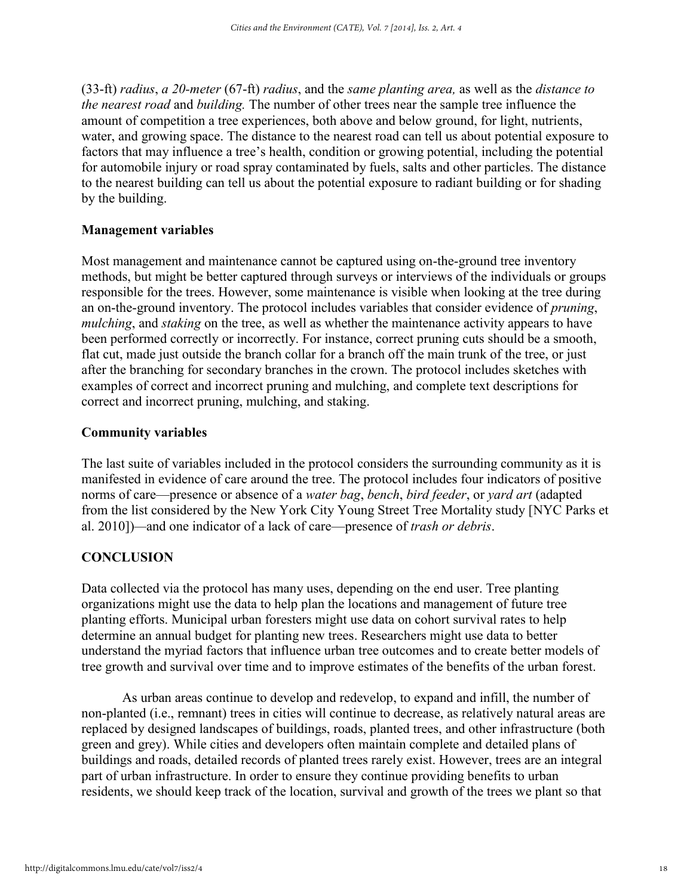(33-ft) *radius*, *a 20-meter* (67-ft) *radius*, and the *same planting area,* as well as the *distance to the nearest road* and *building.* The number of other trees near the sample tree influence the amount of competition a tree experiences, both above and below ground, for light, nutrients, water, and growing space. The distance to the nearest road can tell us about potential exposure to factors that may influence a tree's health, condition or growing potential, including the potential for automobile injury or road spray contaminated by fuels, salts and other particles. The distance to the nearest building can tell us about the potential exposure to radiant building or for shading by the building.

# **Management variables**

Most management and maintenance cannot be captured using on-the-ground tree inventory methods, but might be better captured through surveys or interviews of the individuals or groups responsible for the trees. However, some maintenance is visible when looking at the tree during an on-the-ground inventory. The protocol includes variables that consider evidence of *pruning*, *mulching*, and *staking* on the tree, as well as whether the maintenance activity appears to have been performed correctly or incorrectly. For instance, correct pruning cuts should be a smooth, flat cut, made just outside the branch collar for a branch off the main trunk of the tree, or just after the branching for secondary branches in the crown. The protocol includes sketches with examples of correct and incorrect pruning and mulching, and complete text descriptions for correct and incorrect pruning, mulching, and staking.

# **Community variables**

The last suite of variables included in the protocol considers the surrounding community as it is manifested in evidence of care around the tree. The protocol includes four indicators of positive norms of care—presence or absence of a *water bag*, *bench*, *bird feeder*, or *yard art* (adapted from the list considered by the New York City Young Street Tree Mortality study [NYC Parks et al. 2010])*—*and one indicator of a lack of care—presence of *trash or debris*.

# **CONCLUSION**

Data collected via the protocol has many uses, depending on the end user. Tree planting organizations might use the data to help plan the locations and management of future tree planting efforts. Municipal urban foresters might use data on cohort survival rates to help determine an annual budget for planting new trees. Researchers might use data to better understand the myriad factors that influence urban tree outcomes and to create better models of tree growth and survival over time and to improve estimates of the benefits of the urban forest.

 As urban areas continue to develop and redevelop, to expand and infill, the number of non-planted (i.e., remnant) trees in cities will continue to decrease, as relatively natural areas are replaced by designed landscapes of buildings, roads, planted trees, and other infrastructure (both green and grey). While cities and developers often maintain complete and detailed plans of buildings and roads, detailed records of planted trees rarely exist. However, trees are an integral part of urban infrastructure. In order to ensure they continue providing benefits to urban residents, we should keep track of the location, survival and growth of the trees we plant so that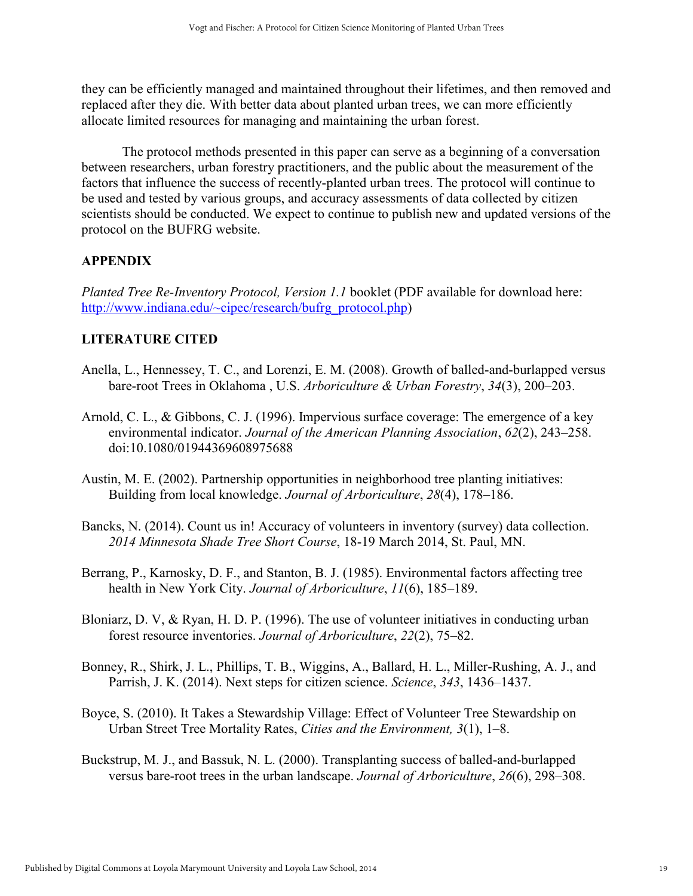they can be efficiently managed and maintained throughout their lifetimes, and then removed and replaced after they die. With better data about planted urban trees, we can more efficiently allocate limited resources for managing and maintaining the urban forest.

 The protocol methods presented in this paper can serve as a beginning of a conversation between researchers, urban forestry practitioners, and the public about the measurement of the factors that influence the success of recently-planted urban trees. The protocol will continue to be used and tested by various groups, and accuracy assessments of data collected by citizen scientists should be conducted. We expect to continue to publish new and updated versions of the protocol on the BUFRG website.

# **APPENDIX**

*Planted Tree Re-Inventory Protocol, Version 1.1* booklet (PDF available for download here: [http://www.indiana.edu/~cipec/research/bufrg\\_protocol.php\)](http://www.indiana.edu/~cipec/research/bufrg_protocol.php)

# **LITERATURE CITED**

- Anella, L., Hennessey, T. C., and Lorenzi, E. M. (2008). Growth of balled-and-burlapped versus bare-root Trees in Oklahoma , U.S. *Arboriculture & Urban Forestry*, *34*(3), 200–203.
- Arnold, C. L., & Gibbons, C. J. (1996). Impervious surface coverage: The emergence of a key environmental indicator. *Journal of the American Planning Association*, *62*(2), 243–258. doi:10.1080/01944369608975688
- Austin, M. E. (2002). Partnership opportunities in neighborhood tree planting initiatives: Building from local knowledge. *Journal of Arboriculture*, *28*(4), 178–186.
- Bancks, N. (2014). Count us in! Accuracy of volunteers in inventory (survey) data collection. *2014 Minnesota Shade Tree Short Course*, 18-19 March 2014, St. Paul, MN.
- Berrang, P., Karnosky, D. F., and Stanton, B. J. (1985). Environmental factors affecting tree health in New York City. *Journal of Arboriculture*, *11*(6), 185–189.
- Bloniarz, D. V, & Ryan, H. D. P. (1996). The use of volunteer initiatives in conducting urban forest resource inventories. *Journal of Arboriculture*, *22*(2), 75–82.
- Bonney, R., Shirk, J. L., Phillips, T. B., Wiggins, A., Ballard, H. L., Miller-Rushing, A. J., and Parrish, J. K. (2014). Next steps for citizen science. *Science*, *343*, 1436–1437.
- Boyce, S. (2010). It Takes a Stewardship Village: Effect of Volunteer Tree Stewardship on Urban Street Tree Mortality Rates, *Cities and the Environment, 3*(1), 1–8.
- Buckstrup, M. J., and Bassuk, N. L. (2000). Transplanting success of balled-and-burlapped versus bare-root trees in the urban landscape. *Journal of Arboriculture*, *26*(6), 298–308.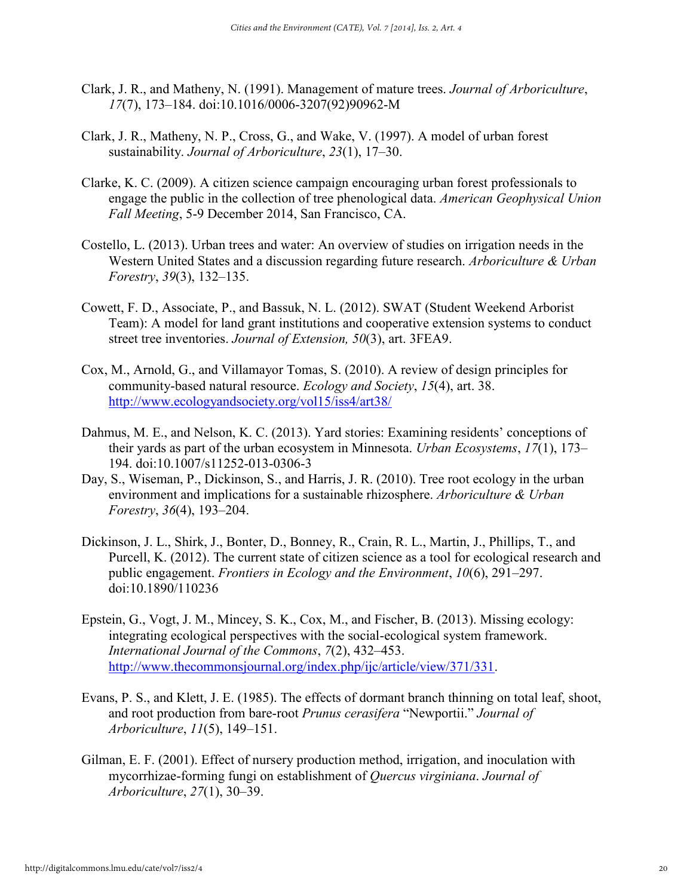- Clark, J. R., and Matheny, N. (1991). Management of mature trees. *Journal of Arboriculture*, *17*(7), 173–184. doi:10.1016/0006-3207(92)90962-M
- Clark, J. R., Matheny, N. P., Cross, G., and Wake, V. (1997). A model of urban forest sustainability. *Journal of Arboriculture*, *23*(1), 17–30.
- Clarke, K. C. (2009). A citizen science campaign encouraging urban forest professionals to engage the public in the collection of tree phenological data. *American Geophysical Union Fall Meeting*, 5-9 December 2014, San Francisco, CA.
- Costello, L. (2013). Urban trees and water: An overview of studies on irrigation needs in the Western United States and a discussion regarding future research. *Arboriculture & Urban Forestry*, *39*(3), 132–135.
- Cowett, F. D., Associate, P., and Bassuk, N. L. (2012). SWAT (Student Weekend Arborist Team): A model for land grant institutions and cooperative extension systems to conduct street tree inventories. *Journal of Extension, 50*(3), art. 3FEA9.
- Cox, M., Arnold, G., and Villamayor Tomas, S. (2010). A review of design principles for community-based natural resource. *Ecology and Society*, *15*(4), art. 38. <http://www.ecologyandsociety.org/vol15/iss4/art38/>
- Dahmus, M. E., and Nelson, K. C. (2013). Yard stories: Examining residents' conceptions of their yards as part of the urban ecosystem in Minnesota. *Urban Ecosystems*, *17*(1), 173– 194. doi:10.1007/s11252-013-0306-3
- Day, S., Wiseman, P., Dickinson, S., and Harris, J. R. (2010). Tree root ecology in the urban environment and implications for a sustainable rhizosphere. *Arboriculture & Urban Forestry*, *36*(4), 193–204.
- Dickinson, J. L., Shirk, J., Bonter, D., Bonney, R., Crain, R. L., Martin, J., Phillips, T., and Purcell, K. (2012). The current state of citizen science as a tool for ecological research and public engagement. *Frontiers in Ecology and the Environment*, *10*(6), 291–297. doi:10.1890/110236
- Epstein, G., Vogt, J. M., Mincey, S. K., Cox, M., and Fischer, B. (2013). Missing ecology: integrating ecological perspectives with the social-ecological system framework. *International Journal of the Commons*, *7*(2), 432–453. [http://www.thecommonsjournal.org/index.php/ijc/article/view/371/331.](http://www.thecommonsjournal.org/index.php/ijc/article/view/371/331)
- Evans, P. S., and Klett, J. E. (1985). The effects of dormant branch thinning on total leaf, shoot, and root production from bare-root *Prunus cerasifera* "Newportii." *Journal of Arboriculture*, *11*(5), 149–151.
- Gilman, E. F. (2001). Effect of nursery production method, irrigation, and inoculation with mycorrhizae-forming fungi on establishment of *Quercus virginiana*. *Journal of Arboriculture*, *27*(1), 30–39.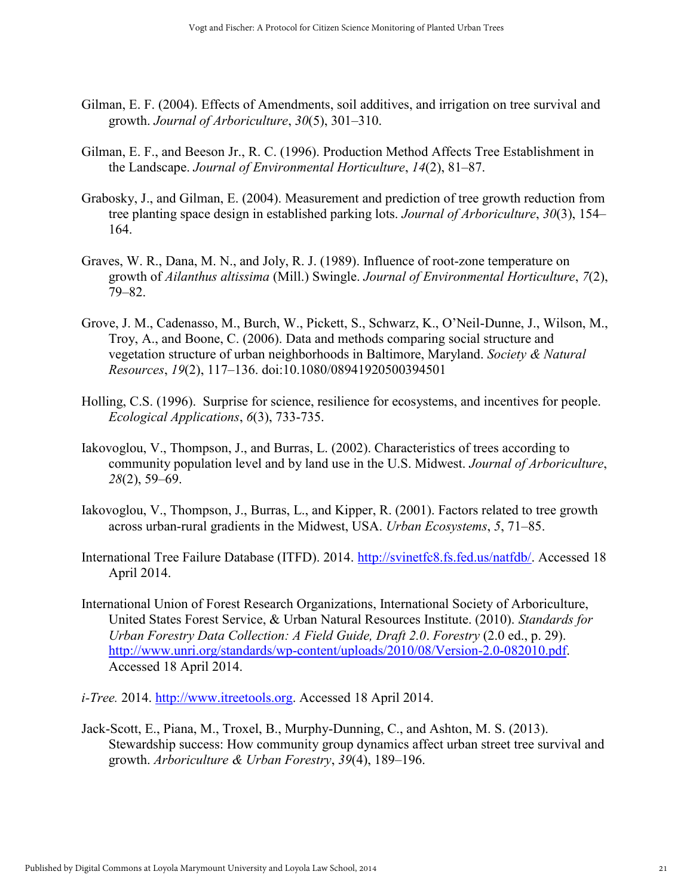- Gilman, E. F. (2004). Effects of Amendments, soil additives, and irrigation on tree survival and growth. *Journal of Arboriculture*, *30*(5), 301–310.
- Gilman, E. F., and Beeson Jr., R. C. (1996). Production Method Affects Tree Establishment in the Landscape. *Journal of Environmental Horticulture*, *14*(2), 81–87.
- Grabosky, J., and Gilman, E. (2004). Measurement and prediction of tree growth reduction from tree planting space design in established parking lots. *Journal of Arboriculture*, *30*(3), 154– 164.
- Graves, W. R., Dana, M. N., and Joly, R. J. (1989). Influence of root-zone temperature on growth of *Ailanthus altissima* (Mill.) Swingle. *Journal of Environmental Horticulture*, *7*(2), 79–82.
- Grove, J. M., Cadenasso, M., Burch, W., Pickett, S., Schwarz, K., O'Neil-Dunne, J., Wilson, M., Troy, A., and Boone, C. (2006). Data and methods comparing social structure and vegetation structure of urban neighborhoods in Baltimore, Maryland. *Society & Natural Resources*, *19*(2), 117–136. doi:10.1080/08941920500394501
- Holling, C.S. (1996). Surprise for science, resilience for ecosystems, and incentives for people. *Ecological Applications*, *6*(3), 733-735.
- Iakovoglou, V., Thompson, J., and Burras, L. (2002). Characteristics of trees according to community population level and by land use in the U.S. Midwest. *Journal of Arboriculture*, *28*(2), 59–69.
- Iakovoglou, V., Thompson, J., Burras, L., and Kipper, R. (2001). Factors related to tree growth across urban-rural gradients in the Midwest, USA. *Urban Ecosystems*, *5*, 71–85.
- International Tree Failure Database (ITFD). 2014. [http://svinetfc8.fs.fed.us/natfdb/.](http://svinetfc8.fs.fed.us/natfdb/) Accessed 18 April 2014.
- International Union of Forest Research Organizations, International Society of Arboriculture, United States Forest Service, & Urban Natural Resources Institute. (2010). *Standards for Urban Forestry Data Collection: A Field Guide, Draft 2.0*. *Forestry* (2.0 ed., p. 29). [http://www.unri.org/standards/wp-content/uploads/2010/08/Version-2.0-082010.pdf.](http://www.unri.org/standards/wp-content/uploads/2010/08/Version-2.0-082010.pdf) Accessed 18 April 2014.

*i-Tree.* 2014. [http://www.itreetools.org.](http://www.itreetools.org/) Accessed 18 April 2014.

Jack-Scott, E., Piana, M., Troxel, B., Murphy-Dunning, C., and Ashton, M. S. (2013). Stewardship success: How community group dynamics affect urban street tree survival and growth. *Arboriculture & Urban Forestry*, *39*(4), 189–196.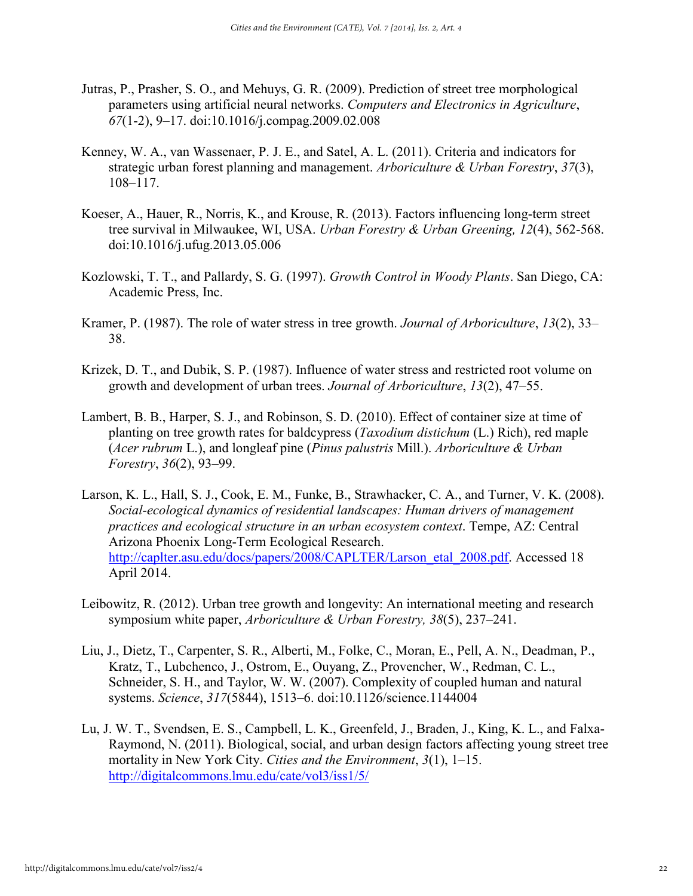- Jutras, P., Prasher, S. O., and Mehuys, G. R. (2009). Prediction of street tree morphological parameters using artificial neural networks. *Computers and Electronics in Agriculture*, *67*(1-2), 9–17. doi:10.1016/j.compag.2009.02.008
- Kenney, W. A., van Wassenaer, P. J. E., and Satel, A. L. (2011). Criteria and indicators for strategic urban forest planning and management. *Arboriculture & Urban Forestry*, *37*(3), 108–117.
- Koeser, A., Hauer, R., Norris, K., and Krouse, R. (2013). Factors influencing long-term street tree survival in Milwaukee, WI, USA. *Urban Forestry & Urban Greening, 12*(4), 562-568. doi:10.1016/j.ufug.2013.05.006
- Kozlowski, T. T., and Pallardy, S. G. (1997). *Growth Control in Woody Plants*. San Diego, CA: Academic Press, Inc.
- Kramer, P. (1987). The role of water stress in tree growth. *Journal of Arboriculture*, *13*(2), 33– 38.
- Krizek, D. T., and Dubik, S. P. (1987). Influence of water stress and restricted root volume on growth and development of urban trees. *Journal of Arboriculture*, *13*(2), 47–55.
- Lambert, B. B., Harper, S. J., and Robinson, S. D. (2010). Effect of container size at time of planting on tree growth rates for baldcypress (*Taxodium distichum* (L.) Rich), red maple (*Acer rubrum* L.), and longleaf pine (*Pinus palustris* Mill.). *Arboriculture & Urban Forestry*, *36*(2), 93–99.
- Larson, K. L., Hall, S. J., Cook, E. M., Funke, B., Strawhacker, C. A., and Turner, V. K. (2008). *Social-ecological dynamics of residential landscapes: Human drivers of management practices and ecological structure in an urban ecosystem context*. Tempe, AZ: Central Arizona Phoenix Long-Term Ecological Research. [http://caplter.asu.edu/docs/papers/2008/CAPLTER/Larson\\_etal\\_2008.pdf.](http://caplter.asu.edu/docs/papers/2008/CAPLTER/Larson_etal_2008.pdf) Accessed 18 April 2014.
- Leibowitz, R. (2012). Urban tree growth and longevity: An international meeting and research symposium white paper, *Arboriculture & Urban Forestry, 38*(5), 237–241.
- Liu, J., Dietz, T., Carpenter, S. R., Alberti, M., Folke, C., Moran, E., Pell, A. N., Deadman, P., Kratz, T., Lubchenco, J., Ostrom, E., Ouyang, Z., Provencher, W., Redman, C. L., Schneider, S. H., and Taylor, W. W. (2007). Complexity of coupled human and natural systems. *Science*, *317*(5844), 1513–6. doi:10.1126/science.1144004
- Lu, J. W. T., Svendsen, E. S., Campbell, L. K., Greenfeld, J., Braden, J., King, K. L., and Falxa-Raymond, N. (2011). Biological, social, and urban design factors affecting young street tree mortality in New York City. *Cities and the Environment*, *3*(1), 1–15. <http://digitalcommons.lmu.edu/cate/vol3/iss1/5/>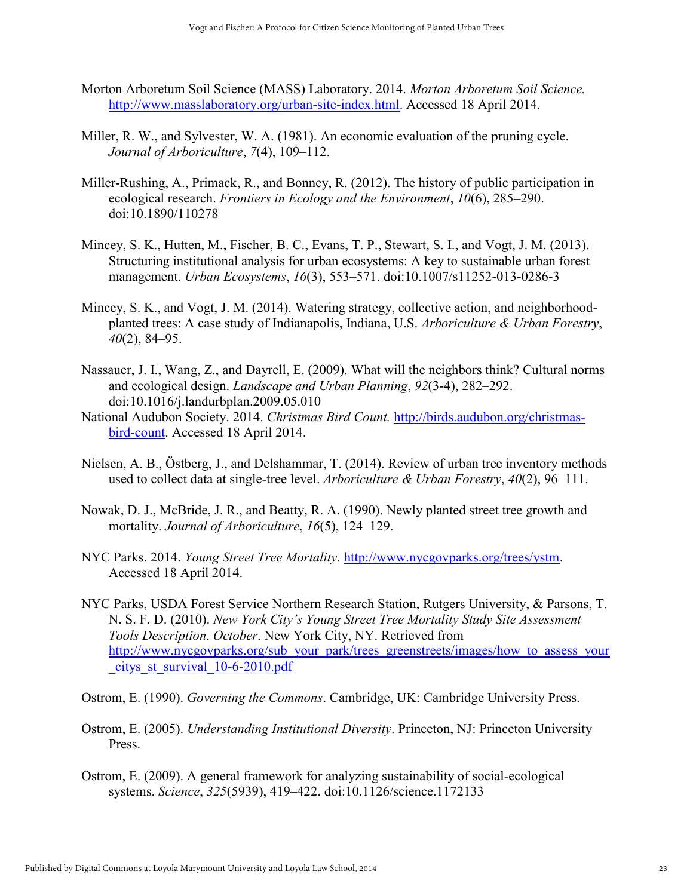- Morton Arboretum Soil Science (MASS) Laboratory. 2014. *Morton Arboretum Soil Science.*  [http://www.masslaboratory.org/urban-site-index.html.](http://www.masslaboratory.org/urban-site-index.html) Accessed 18 April 2014.
- Miller, R. W., and Sylvester, W. A. (1981). An economic evaluation of the pruning cycle. *Journal of Arboriculture*, *7*(4), 109–112.
- Miller-Rushing, A., Primack, R., and Bonney, R. (2012). The history of public participation in ecological research. *Frontiers in Ecology and the Environment*, *10*(6), 285–290. doi:10.1890/110278
- Mincey, S. K., Hutten, M., Fischer, B. C., Evans, T. P., Stewart, S. I., and Vogt, J. M. (2013). Structuring institutional analysis for urban ecosystems: A key to sustainable urban forest management. *Urban Ecosystems*, *16*(3), 553–571. doi:10.1007/s11252-013-0286-3
- Mincey, S. K., and Vogt, J. M. (2014). Watering strategy, collective action, and neighborhoodplanted trees: A case study of Indianapolis, Indiana, U.S. *Arboriculture & Urban Forestry*, *40*(2), 84–95.
- Nassauer, J. I., Wang, Z., and Dayrell, E. (2009). What will the neighbors think? Cultural norms and ecological design. *Landscape and Urban Planning*, *92*(3-4), 282–292. doi:10.1016/j.landurbplan.2009.05.010
- National Audubon Society. 2014. *Christmas Bird Count.* [http://birds.audubon.org/christmas](http://birds.audubon.org/christmas-bird-count)[bird-count.](http://birds.audubon.org/christmas-bird-count) Accessed 18 April 2014.
- Nielsen, A. B., Östberg, J., and Delshammar, T. (2014). Review of urban tree inventory methods used to collect data at single-tree level. *Arboriculture & Urban Forestry*, *40*(2), 96–111.
- Nowak, D. J., McBride, J. R., and Beatty, R. A. (1990). Newly planted street tree growth and mortality. *Journal of Arboriculture*, *16*(5), 124–129.
- NYC Parks. 2014. *Young Street Tree Mortality.* [http://www.nycgovparks.org/trees/ystm.](http://www.nycgovparks.org/trees/ystm) Accessed 18 April 2014.
- NYC Parks, USDA Forest Service Northern Research Station, Rutgers University, & Parsons, T. N. S. F. D. (2010). *New York City's Young Street Tree Mortality Study Site Assessment Tools Description*. *October*. New York City, NY. Retrieved from [http://www.nycgovparks.org/sub\\_your\\_park/trees\\_greenstreets/images/how\\_to\\_assess\\_your](http://www.nycgovparks.org/sub_your_park/trees_greenstreets/images/how_to_assess_your_citys_st_survival_10-6-2010.pdf) [\\_citys\\_st\\_survival\\_10-6-2010.pdf](http://www.nycgovparks.org/sub_your_park/trees_greenstreets/images/how_to_assess_your_citys_st_survival_10-6-2010.pdf)
- Ostrom, E. (1990). *Governing the Commons*. Cambridge, UK: Cambridge University Press.
- Ostrom, E. (2005). *Understanding Institutional Diversity*. Princeton, NJ: Princeton University Press.
- Ostrom, E. (2009). A general framework for analyzing sustainability of social-ecological systems. *Science*, *325*(5939), 419–422. doi:10.1126/science.1172133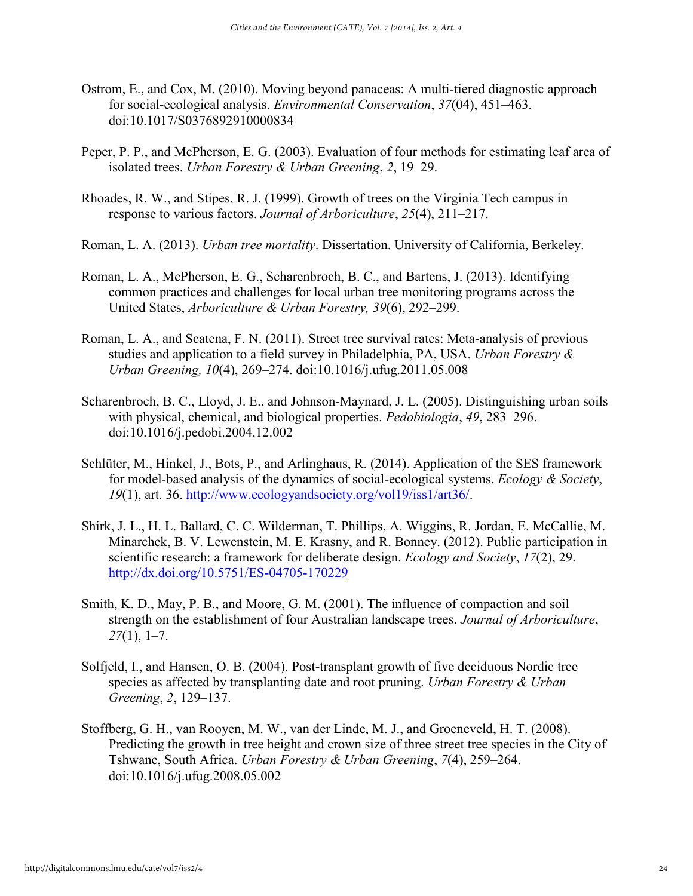- Ostrom, E., and Cox, M. (2010). Moving beyond panaceas: A multi-tiered diagnostic approach for social-ecological analysis. *Environmental Conservation*, *37*(04), 451–463. doi:10.1017/S0376892910000834
- Peper, P. P., and McPherson, E. G. (2003). Evaluation of four methods for estimating leaf area of isolated trees. *Urban Forestry & Urban Greening*, *2*, 19–29.
- Rhoades, R. W., and Stipes, R. J. (1999). Growth of trees on the Virginia Tech campus in response to various factors. *Journal of Arboriculture*, *25*(4), 211–217.
- Roman, L. A. (2013). *Urban tree mortality*. Dissertation. University of California, Berkeley.
- Roman, L. A., McPherson, E. G., Scharenbroch, B. C., and Bartens, J. (2013). Identifying common practices and challenges for local urban tree monitoring programs across the United States, *Arboriculture & Urban Forestry, 39*(6), 292–299.
- Roman, L. A., and Scatena, F. N. (2011). Street tree survival rates: Meta-analysis of previous studies and application to a field survey in Philadelphia, PA, USA. *Urban Forestry & Urban Greening, 10*(4), 269–274. doi:10.1016/j.ufug.2011.05.008
- Scharenbroch, B. C., Lloyd, J. E., and Johnson-Maynard, J. L. (2005). Distinguishing urban soils with physical, chemical, and biological properties. *Pedobiologia*, *49*, 283–296. doi:10.1016/j.pedobi.2004.12.002
- Schlüter, M., Hinkel, J., Bots, P., and Arlinghaus, R. (2014). Application of the SES framework for model-based analysis of the dynamics of social-ecological systems. *Ecology & Society*, *19*(1), art. 36. [http://www.ecologyandsociety.org/vol19/iss1/art36/.](http://www.ecologyandsociety.org/vol19/iss1/art36/)
- Shirk, J. L., H. L. Ballard, C. C. Wilderman, T. Phillips, A. Wiggins, R. Jordan, E. McCallie, M. Minarchek, B. V. Lewenstein, M. E. Krasny, and R. Bonney. (2012). Public participation in scientific research: a framework for deliberate design. *Ecology and Society*, *17*(2), 29. <http://dx.doi.org/10.5751/ES-04705-170229>
- Smith, K. D., May, P. B., and Moore, G. M. (2001). The influence of compaction and soil strength on the establishment of four Australian landscape trees. *Journal of Arboriculture*, *27*(1), 1–7.
- Solfjeld, I., and Hansen, O. B. (2004). Post-transplant growth of five deciduous Nordic tree species as affected by transplanting date and root pruning. *Urban Forestry & Urban Greening*, *2*, 129–137.
- Stoffberg, G. H., van Rooyen, M. W., van der Linde, M. J., and Groeneveld, H. T. (2008). Predicting the growth in tree height and crown size of three street tree species in the City of Tshwane, South Africa. *Urban Forestry & Urban Greening*, *7*(4), 259–264. doi:10.1016/j.ufug.2008.05.002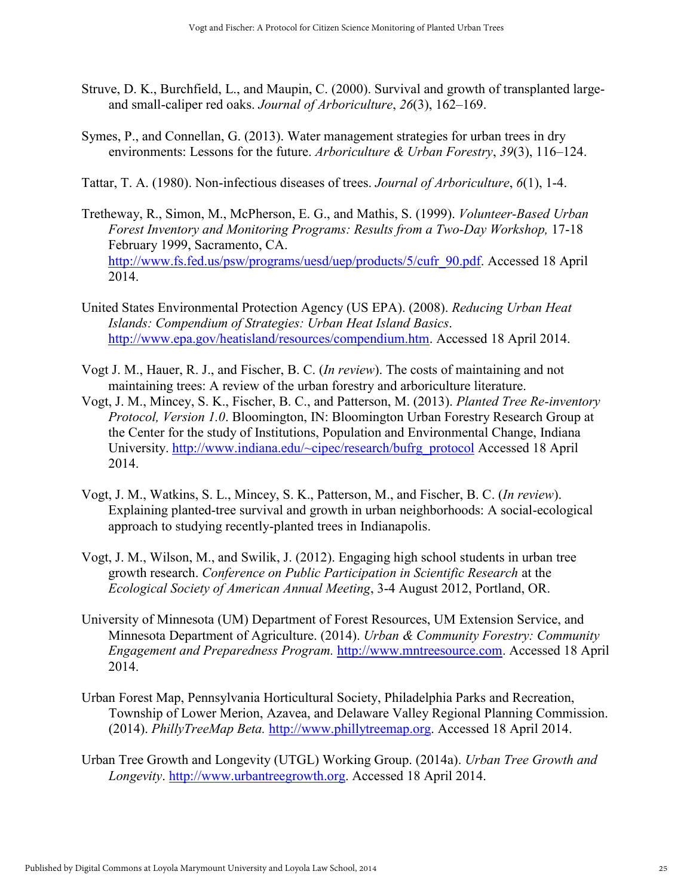- Struve, D. K., Burchfield, L., and Maupin, C. (2000). Survival and growth of transplanted largeand small-caliper red oaks. *Journal of Arboriculture*, *26*(3), 162–169.
- Symes, P., and Connellan, G. (2013). Water management strategies for urban trees in dry environments: Lessons for the future. *Arboriculture & Urban Forestry*, *39*(3), 116–124.
- Tattar, T. A. (1980). Non-infectious diseases of trees. *Journal of Arboriculture*, *6*(1), 1-4.
- Tretheway, R., Simon, M., McPherson, E. G., and Mathis, S. (1999). *Volunteer-Based Urban Forest Inventory and Monitoring Programs: Results from a Two-Day Workshop,* 17-18 February 1999, Sacramento, CA. [http://www.fs.fed.us/psw/programs/uesd/uep/products/5/cufr\\_90.pdf.](http://www.fs.fed.us/psw/programs/uesd/uep/products/5/cufr_90.pdf) Accessed 18 April 2014.
- United States Environmental Protection Agency (US EPA). (2008). *Reducing Urban Heat Islands: Compendium of Strategies: Urban Heat Island Basics*. [http://www.epa.gov/heatisland/resources/compendium.htm.](http://www.epa.gov/heatisland/resources/compendium.htm) Accessed 18 April 2014.
- Vogt J. M., Hauer, R. J., and Fischer, B. C. (*In review*). The costs of maintaining and not maintaining trees: A review of the urban forestry and arboriculture literature.
- Vogt, J. M., Mincey, S. K., Fischer, B. C., and Patterson, M. (2013). *Planted Tree Re-inventory Protocol, Version 1.0*. Bloomington, IN: Bloomington Urban Forestry Research Group at the Center for the study of Institutions, Population and Environmental Change, Indiana University. [http://www.indiana.edu/~cipec/research/bufrg\\_protocol](http://www.indiana.edu/~cipec/research/bufrg_protocol) Accessed 18 April 2014.
- Vogt, J. M., Watkins, S. L., Mincey, S. K., Patterson, M., and Fischer, B. C. (*In review*). Explaining planted-tree survival and growth in urban neighborhoods: A social-ecological approach to studying recently-planted trees in Indianapolis.
- Vogt, J. M., Wilson, M., and Swilik, J. (2012). Engaging high school students in urban tree growth research. *Conference on Public Participation in Scientific Research* at the *Ecological Society of American Annual Meeting*, 3-4 August 2012, Portland, OR.
- University of Minnesota (UM) Department of Forest Resources, UM Extension Service, and Minnesota Department of Agriculture. (2014). *Urban & Community Forestry: Community Engagement and Preparedness Program.* [http://www.mntreesource.com.](http://www.mntreesource.com/) Accessed 18 April 2014.
- Urban Forest Map, Pennsylvania Horticultural Society, Philadelphia Parks and Recreation, Township of Lower Merion, Azavea, and Delaware Valley Regional Planning Commission. (2014). *PhillyTreeMap Beta.* [http://www.phillytreemap.org.](http://www.phillytreemap.org/) Accessed 18 April 2014.
- Urban Tree Growth and Longevity (UTGL) Working Group. (2014a). *Urban Tree Growth and Longevity*. [http://www.urbantreegrowth.org.](http://www.urbantreegrowth.org/) Accessed 18 April 2014.